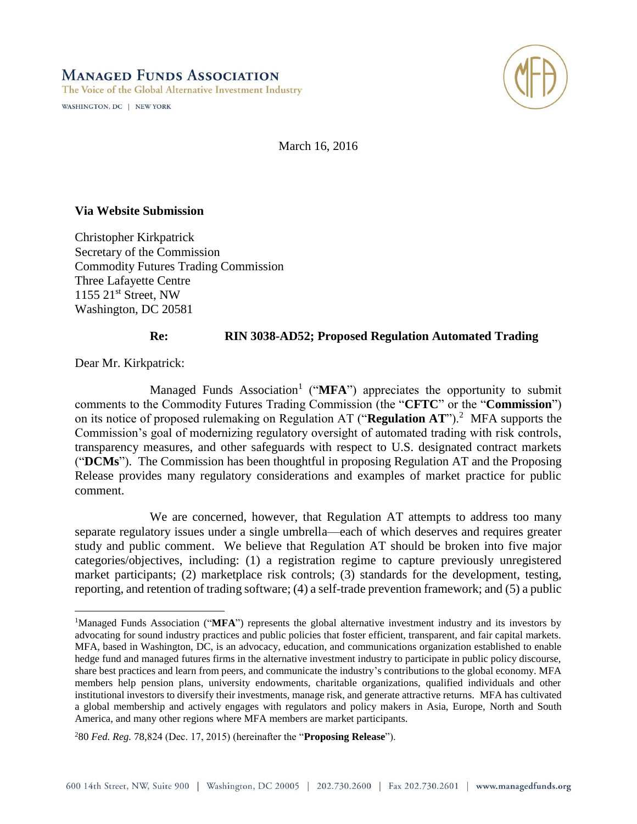WASHINGTON, DC | NEW YORK



March 16, 2016

#### **Via Website Submission**

Christopher Kirkpatrick Secretary of the Commission Commodity Futures Trading Commission Three Lafayette Centre  $1155$   $21<sup>st</sup>$  Street, NW Washington, DC 20581

#### **Re: RIN 3038-AD52; Proposed Regulation Automated Trading**

Dear Mr. Kirkpatrick:

 $\overline{a}$ 

Managed Funds Association<sup>1</sup> ("MFA") appreciates the opportunity to submit comments to the Commodity Futures Trading Commission (the "**CFTC**" or the "**Commission**") on its notice of proposed rulemaking on Regulation AT ("Regulation AT").<sup>2</sup> MFA supports the Commission's goal of modernizing regulatory oversight of automated trading with risk controls, transparency measures, and other safeguards with respect to U.S. designated contract markets ("**DCMs**"). The Commission has been thoughtful in proposing Regulation AT and the Proposing Release provides many regulatory considerations and examples of market practice for public comment.

We are concerned, however, that Regulation AT attempts to address too many separate regulatory issues under a single umbrella—each of which deserves and requires greater study and public comment. We believe that Regulation AT should be broken into five major categories/objectives, including: (1) a registration regime to capture previously unregistered market participants; (2) marketplace risk controls; (3) standards for the development, testing, reporting, and retention of trading software; (4) a self-trade prevention framework; and (5) a public

<sup>&</sup>lt;sup>1</sup>Managed Funds Association ("**MFA**") represents the global alternative investment industry and its investors by advocating for sound industry practices and public policies that foster efficient, transparent, and fair capital markets. MFA, based in Washington, DC, is an advocacy, education, and communications organization established to enable hedge fund and managed futures firms in the alternative investment industry to participate in public policy discourse, share best practices and learn from peers, and communicate the industry's contributions to the global economy. MFA members help pension plans, university endowments, charitable organizations, qualified individuals and other institutional investors to diversify their investments, manage risk, and generate attractive returns. MFA has cultivated a global membership and actively engages with regulators and policy makers in Asia, Europe, North and South America, and many other regions where MFA members are market participants.

<sup>2</sup>80 *Fed. Reg.* 78,824 (Dec. 17, 2015) (hereinafter the "**Proposing Release**").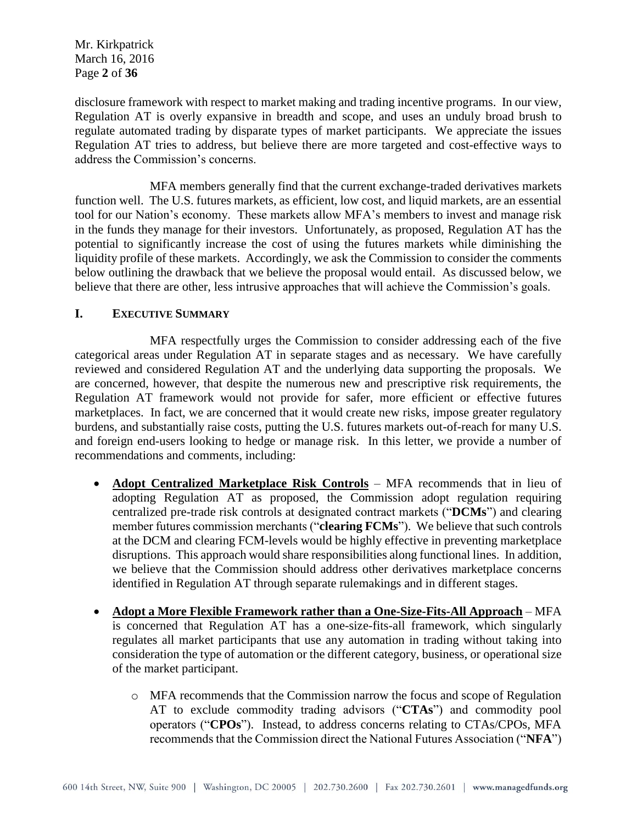Mr. Kirkpatrick March 16, 2016 Page **2** of **36**

disclosure framework with respect to market making and trading incentive programs. In our view, Regulation AT is overly expansive in breadth and scope, and uses an unduly broad brush to regulate automated trading by disparate types of market participants. We appreciate the issues Regulation AT tries to address, but believe there are more targeted and cost-effective ways to address the Commission's concerns.

MFA members generally find that the current exchange-traded derivatives markets function well. The U.S. futures markets, as efficient, low cost, and liquid markets, are an essential tool for our Nation's economy. These markets allow MFA's members to invest and manage risk in the funds they manage for their investors. Unfortunately, as proposed, Regulation AT has the potential to significantly increase the cost of using the futures markets while diminishing the liquidity profile of these markets. Accordingly, we ask the Commission to consider the comments below outlining the drawback that we believe the proposal would entail. As discussed below, we believe that there are other, less intrusive approaches that will achieve the Commission's goals.

#### **I. EXECUTIVE SUMMARY**

MFA respectfully urges the Commission to consider addressing each of the five categorical areas under Regulation AT in separate stages and as necessary. We have carefully reviewed and considered Regulation AT and the underlying data supporting the proposals. We are concerned, however, that despite the numerous new and prescriptive risk requirements, the Regulation AT framework would not provide for safer, more efficient or effective futures marketplaces. In fact, we are concerned that it would create new risks, impose greater regulatory burdens, and substantially raise costs, putting the U.S. futures markets out-of-reach for many U.S. and foreign end-users looking to hedge or manage risk. In this letter, we provide a number of recommendations and comments, including:

- **Adopt Centralized Marketplace Risk Controls** MFA recommends that in lieu of adopting Regulation AT as proposed, the Commission adopt regulation requiring centralized pre-trade risk controls at designated contract markets ("**DCMs**") and clearing member futures commission merchants ("**clearing FCMs**"). We believe that such controls at the DCM and clearing FCM-levels would be highly effective in preventing marketplace disruptions. This approach would share responsibilities along functional lines. In addition, we believe that the Commission should address other derivatives marketplace concerns identified in Regulation AT through separate rulemakings and in different stages.
- **Adopt a More Flexible Framework rather than a One-Size-Fits-All Approach** MFA is concerned that Regulation AT has a one-size-fits-all framework, which singularly regulates all market participants that use any automation in trading without taking into consideration the type of automation or the different category, business, or operational size of the market participant.
	- o MFA recommends that the Commission narrow the focus and scope of Regulation AT to exclude commodity trading advisors ("**CTAs**") and commodity pool operators ("**CPOs**"). Instead, to address concerns relating to CTAs/CPOs, MFA recommends that the Commission direct the National Futures Association ("**NFA**")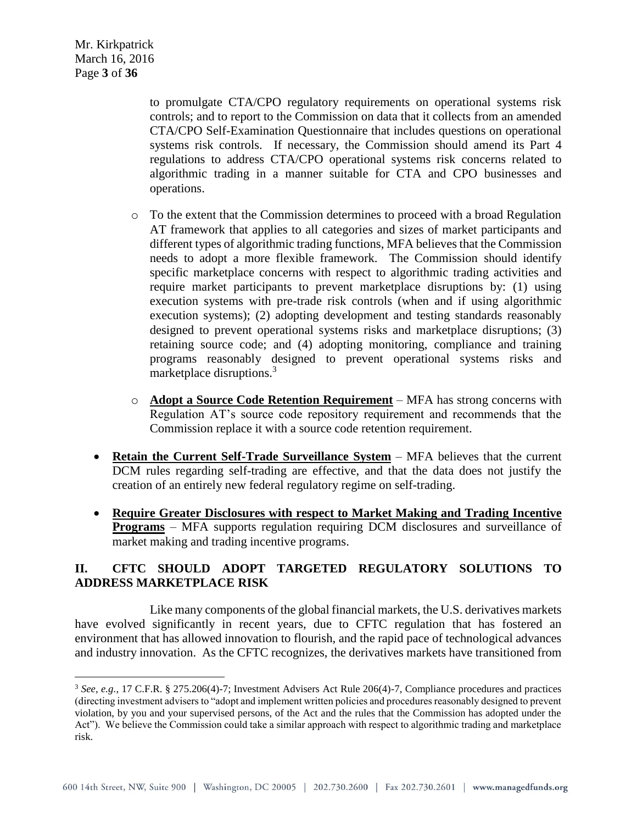$\overline{a}$ 

to promulgate CTA/CPO regulatory requirements on operational systems risk controls; and to report to the Commission on data that it collects from an amended CTA/CPO Self-Examination Questionnaire that includes questions on operational systems risk controls. If necessary, the Commission should amend its Part 4 regulations to address CTA/CPO operational systems risk concerns related to algorithmic trading in a manner suitable for CTA and CPO businesses and operations.

- o To the extent that the Commission determines to proceed with a broad Regulation AT framework that applies to all categories and sizes of market participants and different types of algorithmic trading functions, MFA believes that the Commission needs to adopt a more flexible framework. The Commission should identify specific marketplace concerns with respect to algorithmic trading activities and require market participants to prevent marketplace disruptions by: (1) using execution systems with pre-trade risk controls (when and if using algorithmic execution systems); (2) adopting development and testing standards reasonably designed to prevent operational systems risks and marketplace disruptions; (3) retaining source code; and (4) adopting monitoring, compliance and training programs reasonably designed to prevent operational systems risks and marketplace disruptions.<sup>3</sup>
- o **Adopt a Source Code Retention Requirement** MFA has strong concerns with Regulation AT's source code repository requirement and recommends that the Commission replace it with a source code retention requirement.
- **Retain the Current Self-Trade Surveillance System** MFA believes that the current DCM rules regarding self-trading are effective, and that the data does not justify the creation of an entirely new federal regulatory regime on self-trading.
- **Require Greater Disclosures with respect to Market Making and Trading Incentive Programs** – MFA supports regulation requiring DCM disclosures and surveillance of market making and trading incentive programs.

# **II. CFTC SHOULD ADOPT TARGETED REGULATORY SOLUTIONS TO ADDRESS MARKETPLACE RISK**

Like many components of the global financial markets, the U.S. derivatives markets have evolved significantly in recent years, due to CFTC regulation that has fostered an environment that has allowed innovation to flourish, and the rapid pace of technological advances and industry innovation. As the CFTC recognizes, the derivatives markets have transitioned from

<sup>3</sup> *See, e.g.,* 17 C.F.R. § 275.206(4)-7; Investment Advisers Act Rule 206(4)-7, Compliance procedures and practices (directing investment advisers to "adopt and implement written policies and procedures reasonably designed to prevent violation, by you and your supervised persons, of the Act and the rules that the Commission has adopted under the Act"). We believe the Commission could take a similar approach with respect to algorithmic trading and marketplace risk.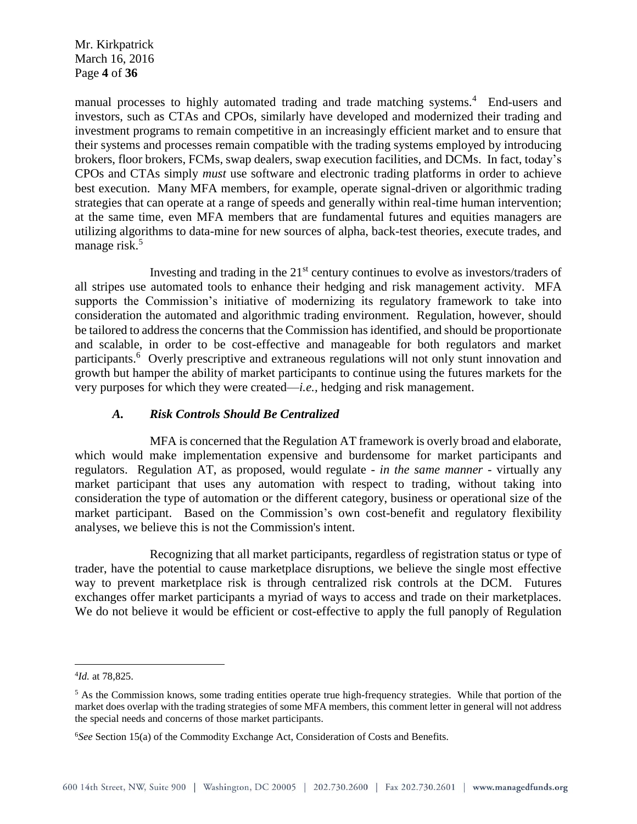Mr. Kirkpatrick March 16, 2016 Page **4** of **36**

manual processes to highly automated trading and trade matching systems.<sup>4</sup> End-users and investors, such as CTAs and CPOs, similarly have developed and modernized their trading and investment programs to remain competitive in an increasingly efficient market and to ensure that their systems and processes remain compatible with the trading systems employed by introducing brokers, floor brokers, FCMs, swap dealers, swap execution facilities, and DCMs. In fact, today's CPOs and CTAs simply *must* use software and electronic trading platforms in order to achieve best execution. Many MFA members, for example, operate signal-driven or algorithmic trading strategies that can operate at a range of speeds and generally within real-time human intervention; at the same time, even MFA members that are fundamental futures and equities managers are utilizing algorithms to data-mine for new sources of alpha, back-test theories, execute trades, and manage risk.<sup>5</sup>

Investing and trading in the 21st century continues to evolve as investors/traders of all stripes use automated tools to enhance their hedging and risk management activity. MFA supports the Commission's initiative of modernizing its regulatory framework to take into consideration the automated and algorithmic trading environment. Regulation, however, should be tailored to address the concerns that the Commission has identified, and should be proportionate and scalable, in order to be cost-effective and manageable for both regulators and market participants.<sup>6</sup> Overly prescriptive and extraneous regulations will not only stunt innovation and growth but hamper the ability of market participants to continue using the futures markets for the very purposes for which they were created—*i.e.,* hedging and risk management.

#### *A. Risk Controls Should Be Centralized*

MFA is concerned that the Regulation AT framework is overly broad and elaborate, which would make implementation expensive and burdensome for market participants and regulators. Regulation AT, as proposed, would regulate - *in the same manner* - virtually any market participant that uses any automation with respect to trading, without taking into consideration the type of automation or the different category, business or operational size of the market participant. Based on the Commission's own cost-benefit and regulatory flexibility analyses, we believe this is not the Commission's intent.

Recognizing that all market participants, regardless of registration status or type of trader, have the potential to cause marketplace disruptions, we believe the single most effective way to prevent marketplace risk is through centralized risk controls at the DCM. Futures exchanges offer market participants a myriad of ways to access and trade on their marketplaces. We do not believe it would be efficient or cost-effective to apply the full panoply of Regulation

<sup>4</sup> *Id.* at 78,825.

 $<sup>5</sup>$  As the Commission knows, some trading entities operate true high-frequency strategies. While that portion of the</sup> market does overlap with the trading strategies of some MFA members, this comment letter in general will not address the special needs and concerns of those market participants.

<sup>6</sup>*See* Section 15(a) of the Commodity Exchange Act, Consideration of Costs and Benefits.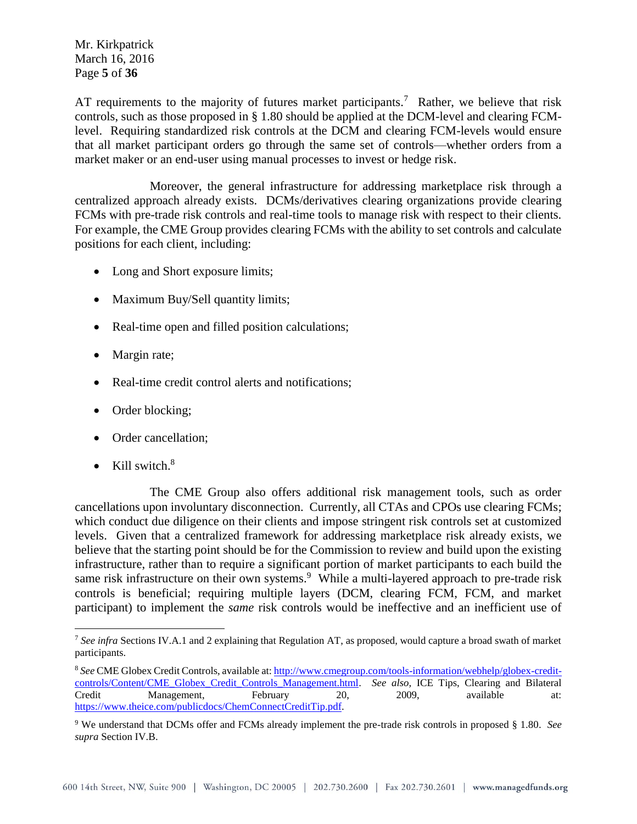Mr. Kirkpatrick March 16, 2016 Page **5** of **36**

AT requirements to the majority of futures market participants.<sup>7</sup> Rather, we believe that risk controls, such as those proposed in § 1.80 should be applied at the DCM-level and clearing FCMlevel. Requiring standardized risk controls at the DCM and clearing FCM-levels would ensure that all market participant orders go through the same set of controls—whether orders from a market maker or an end-user using manual processes to invest or hedge risk.

Moreover, the general infrastructure for addressing marketplace risk through a centralized approach already exists. DCMs/derivatives clearing organizations provide clearing FCMs with pre-trade risk controls and real-time tools to manage risk with respect to their clients. For example, the CME Group provides clearing FCMs with the ability to set controls and calculate positions for each client, including:

- Long and Short exposure limits;
- Maximum Buy/Sell quantity limits;
- Real-time open and filled position calculations;
- Margin rate;
- Real-time credit control alerts and notifications;
- Order blocking;
- Order cancellation;
- Kill switch. $8$

 $\overline{a}$ 

The CME Group also offers additional risk management tools, such as order cancellations upon involuntary disconnection. Currently, all CTAs and CPOs use clearing FCMs; which conduct due diligence on their clients and impose stringent risk controls set at customized levels. Given that a centralized framework for addressing marketplace risk already exists, we believe that the starting point should be for the Commission to review and build upon the existing infrastructure, rather than to require a significant portion of market participants to each build the same risk infrastructure on their own systems.<sup>9</sup> While a multi-layered approach to pre-trade risk controls is beneficial; requiring multiple layers (DCM, clearing FCM, FCM, and market participant) to implement the *same* risk controls would be ineffective and an inefficient use of

<sup>7</sup> *See infra* Sections IV.A.1 and 2 explaining that Regulation AT, as proposed, would capture a broad swath of market participants.

<sup>8</sup> *See* CME Globex Credit Controls, available at[: http://www.cmegroup.com/tools-information/webhelp/globex-credit](http://www.cmegroup.com/tools-information/webhelp/globex-credit-controls/Content/CME_Globex_Credit_Controls_Management.html)[controls/Content/CME\\_Globex\\_Credit\\_Controls\\_Management.html.](http://www.cmegroup.com/tools-information/webhelp/globex-credit-controls/Content/CME_Globex_Credit_Controls_Management.html) *See also,* ICE Tips, Clearing and Bilateral Credit Management, February 20, 2009, available at: [https://www.theice.com/publicdocs/ChemConnectCreditTip.pdf.](https://www.theice.com/publicdocs/ChemConnectCreditTip.pdf)

<sup>9</sup> We understand that DCMs offer and FCMs already implement the pre-trade risk controls in proposed § 1.80. *See supra* Section IV.B.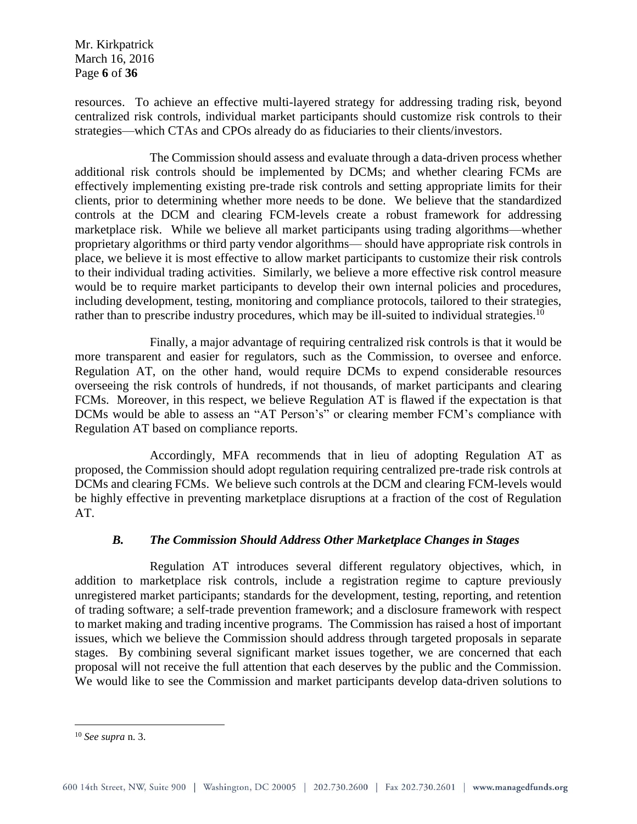Mr. Kirkpatrick March 16, 2016 Page **6** of **36**

resources. To achieve an effective multi-layered strategy for addressing trading risk, beyond centralized risk controls, individual market participants should customize risk controls to their strategies—which CTAs and CPOs already do as fiduciaries to their clients/investors.

The Commission should assess and evaluate through a data-driven process whether additional risk controls should be implemented by DCMs; and whether clearing FCMs are effectively implementing existing pre-trade risk controls and setting appropriate limits for their clients, prior to determining whether more needs to be done. We believe that the standardized controls at the DCM and clearing FCM-levels create a robust framework for addressing marketplace risk. While we believe all market participants using trading algorithms—whether proprietary algorithms or third party vendor algorithms— should have appropriate risk controls in place, we believe it is most effective to allow market participants to customize their risk controls to their individual trading activities. Similarly, we believe a more effective risk control measure would be to require market participants to develop their own internal policies and procedures, including development, testing, monitoring and compliance protocols, tailored to their strategies, rather than to prescribe industry procedures, which may be ill-suited to individual strategies.<sup>10</sup>

Finally, a major advantage of requiring centralized risk controls is that it would be more transparent and easier for regulators, such as the Commission, to oversee and enforce. Regulation AT, on the other hand, would require DCMs to expend considerable resources overseeing the risk controls of hundreds, if not thousands, of market participants and clearing FCMs. Moreover, in this respect, we believe Regulation AT is flawed if the expectation is that DCMs would be able to assess an "AT Person's" or clearing member FCM's compliance with Regulation AT based on compliance reports.

Accordingly, MFA recommends that in lieu of adopting Regulation AT as proposed, the Commission should adopt regulation requiring centralized pre-trade risk controls at DCMs and clearing FCMs. We believe such controls at the DCM and clearing FCM-levels would be highly effective in preventing marketplace disruptions at a fraction of the cost of Regulation AT.

# *B. The Commission Should Address Other Marketplace Changes in Stages*

Regulation AT introduces several different regulatory objectives, which, in addition to marketplace risk controls, include a registration regime to capture previously unregistered market participants; standards for the development, testing, reporting, and retention of trading software; a self-trade prevention framework; and a disclosure framework with respect to market making and trading incentive programs. The Commission has raised a host of important issues, which we believe the Commission should address through targeted proposals in separate stages. By combining several significant market issues together, we are concerned that each proposal will not receive the full attention that each deserves by the public and the Commission. We would like to see the Commission and market participants develop data-driven solutions to

<sup>10</sup> *See supra* n. 3.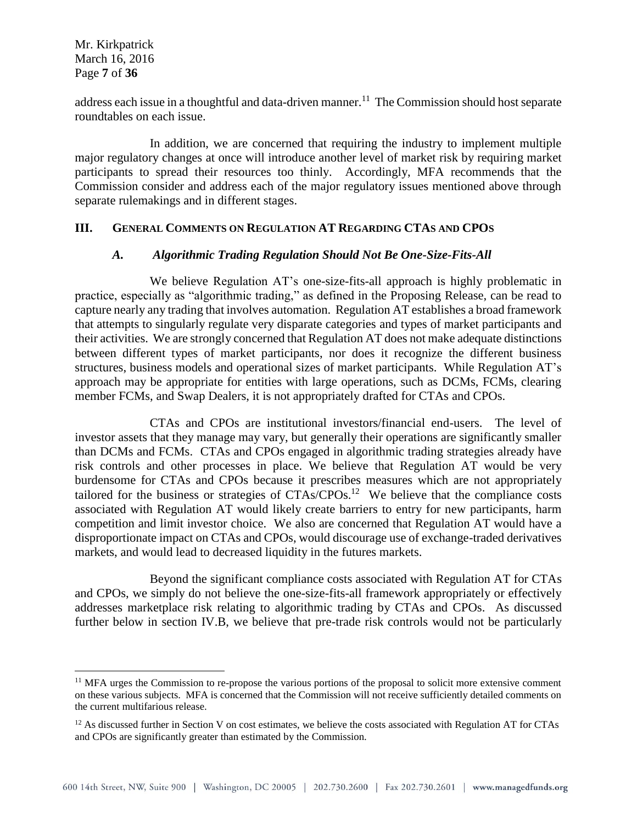Mr. Kirkpatrick March 16, 2016 Page **7** of **36**

 $\overline{a}$ 

address each issue in a thoughtful and data-driven manner.<sup>11</sup> The Commission should host separate roundtables on each issue.

In addition, we are concerned that requiring the industry to implement multiple major regulatory changes at once will introduce another level of market risk by requiring market participants to spread their resources too thinly. Accordingly, MFA recommends that the Commission consider and address each of the major regulatory issues mentioned above through separate rulemakings and in different stages.

#### **III. GENERAL COMMENTS ON REGULATION AT REGARDING CTAS AND CPOS**

#### *A. Algorithmic Trading Regulation Should Not Be One-Size-Fits-All*

We believe Regulation AT's one-size-fits-all approach is highly problematic in practice, especially as "algorithmic trading," as defined in the Proposing Release, can be read to capture nearly any trading that involves automation. Regulation AT establishes a broad framework that attempts to singularly regulate very disparate categories and types of market participants and their activities. We are strongly concerned that Regulation AT does not make adequate distinctions between different types of market participants, nor does it recognize the different business structures, business models and operational sizes of market participants. While Regulation AT's approach may be appropriate for entities with large operations, such as DCMs, FCMs, clearing member FCMs, and Swap Dealers, it is not appropriately drafted for CTAs and CPOs.

CTAs and CPOs are institutional investors/financial end-users. The level of investor assets that they manage may vary, but generally their operations are significantly smaller than DCMs and FCMs. CTAs and CPOs engaged in algorithmic trading strategies already have risk controls and other processes in place. We believe that Regulation AT would be very burdensome for CTAs and CPOs because it prescribes measures which are not appropriately tailored for the business or strategies of  $CTAs/CPOs$ <sup>12</sup> We believe that the compliance costs associated with Regulation AT would likely create barriers to entry for new participants, harm competition and limit investor choice. We also are concerned that Regulation AT would have a disproportionate impact on CTAs and CPOs, would discourage use of exchange-traded derivatives markets, and would lead to decreased liquidity in the futures markets.

Beyond the significant compliance costs associated with Regulation AT for CTAs and CPOs, we simply do not believe the one-size-fits-all framework appropriately or effectively addresses marketplace risk relating to algorithmic trading by CTAs and CPOs. As discussed further below in section IV.B, we believe that pre-trade risk controls would not be particularly

 $11$  MFA urges the Commission to re-propose the various portions of the proposal to solicit more extensive comment on these various subjects. MFA is concerned that the Commission will not receive sufficiently detailed comments on the current multifarious release.

 $12$  As discussed further in Section V on cost estimates, we believe the costs associated with Regulation AT for CTAs and CPOs are significantly greater than estimated by the Commission.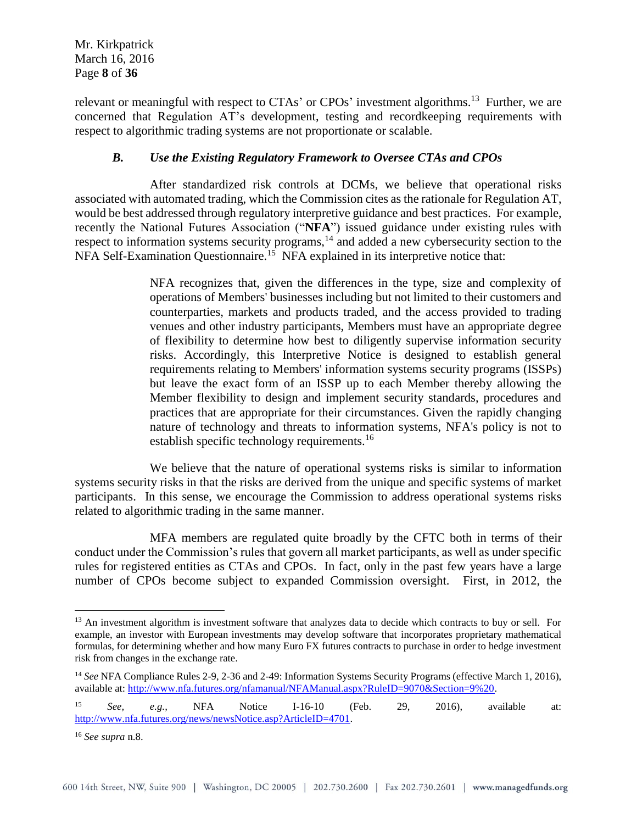Mr. Kirkpatrick March 16, 2016 Page **8** of **36**

relevant or meaningful with respect to CTAs' or CPOs' investment algorithms.<sup>13</sup> Further, we are concerned that Regulation AT's development, testing and recordkeeping requirements with respect to algorithmic trading systems are not proportionate or scalable.

## *B. Use the Existing Regulatory Framework to Oversee CTAs and CPOs*

After standardized risk controls at DCMs, we believe that operational risks associated with automated trading, which the Commission cites as the rationale for Regulation AT, would be best addressed through regulatory interpretive guidance and best practices. For example, recently the National Futures Association ("**NFA**") issued guidance under existing rules with respect to information systems security programs,<sup>14</sup> and added a new cybersecurity section to the NFA Self-Examination Questionnaire.<sup>15</sup> NFA explained in its interpretive notice that:

> NFA recognizes that, given the differences in the type, size and complexity of operations of Members' businesses including but not limited to their customers and counterparties, markets and products traded, and the access provided to trading venues and other industry participants, Members must have an appropriate degree of flexibility to determine how best to diligently supervise information security risks. Accordingly, this Interpretive Notice is designed to establish general requirements relating to Members' information systems security programs (ISSPs) but leave the exact form of an ISSP up to each Member thereby allowing the Member flexibility to design and implement security standards, procedures and practices that are appropriate for their circumstances. Given the rapidly changing nature of technology and threats to information systems, NFA's policy is not to establish specific technology requirements.<sup>16</sup>

We believe that the nature of operational systems risks is similar to information systems security risks in that the risks are derived from the unique and specific systems of market participants. In this sense, we encourage the Commission to address operational systems risks related to algorithmic trading in the same manner.

MFA members are regulated quite broadly by the CFTC both in terms of their conduct under the Commission's rules that govern all market participants, as well as under specific rules for registered entities as CTAs and CPOs. In fact, only in the past few years have a large number of CPOs become subject to expanded Commission oversight. First, in 2012, the

<sup>&</sup>lt;sup>13</sup> An investment algorithm is investment software that analyzes data to decide which contracts to buy or sell. For example, an investor with European investments may develop software that incorporates proprietary mathematical formulas, for determining whether and how many Euro FX futures contracts to purchase in order to hedge investment risk from changes in the exchange rate.

<sup>14</sup> *See* NFA Compliance Rules 2-9, 2-36 and 2-49: Information Systems Security Programs (effective March 1, 2016), available at: [http://www.nfa.futures.org/nfamanual/NFAManual.aspx?RuleID=9070&Section=9%20.](http://www.nfa.futures.org/nfamanual/NFAManual.aspx?RuleID=9070&Section=9%20)

<sup>15</sup> *See, e.g.,* NFA Notice I-16-10 (Feb. 29, 2016), available at: [http://www.nfa.futures.org/news/newsNotice.asp?ArticleID=4701.](http://www.nfa.futures.org/news/newsNotice.asp?ArticleID=4701)

<sup>16</sup> *See supra* n.8.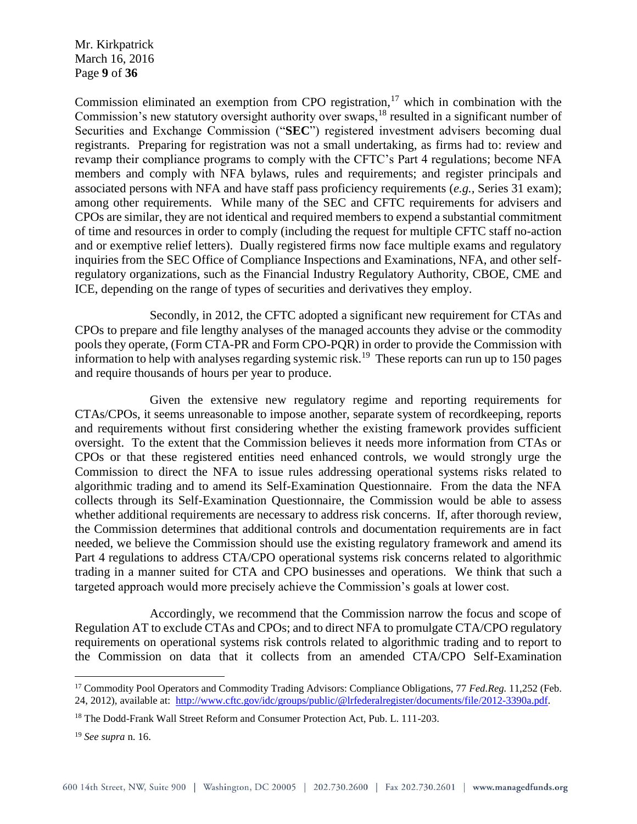Mr. Kirkpatrick March 16, 2016 Page **9** of **36**

Commission eliminated an exemption from CPO registration, $17$  which in combination with the Commission's new statutory oversight authority over swaps,<sup>18</sup> resulted in a significant number of Securities and Exchange Commission ("**SEC**") registered investment advisers becoming dual registrants. Preparing for registration was not a small undertaking, as firms had to: review and revamp their compliance programs to comply with the CFTC's Part 4 regulations; become NFA members and comply with NFA bylaws, rules and requirements; and register principals and associated persons with NFA and have staff pass proficiency requirements (*e.g.,* Series 31 exam); among other requirements. While many of the SEC and CFTC requirements for advisers and CPOs are similar, they are not identical and required members to expend a substantial commitment of time and resources in order to comply (including the request for multiple CFTC staff no-action and or exemptive relief letters). Dually registered firms now face multiple exams and regulatory inquiries from the SEC Office of Compliance Inspections and Examinations, NFA, and other selfregulatory organizations, such as the Financial Industry Regulatory Authority, CBOE, CME and ICE, depending on the range of types of securities and derivatives they employ.

Secondly, in 2012, the CFTC adopted a significant new requirement for CTAs and CPOs to prepare and file lengthy analyses of the managed accounts they advise or the commodity pools they operate, (Form CTA-PR and Form CPO-PQR) in order to provide the Commission with information to help with analyses regarding systemic risk.<sup>19</sup> These reports can run up to 150 pages and require thousands of hours per year to produce.

Given the extensive new regulatory regime and reporting requirements for CTAs/CPOs, it seems unreasonable to impose another, separate system of recordkeeping, reports and requirements without first considering whether the existing framework provides sufficient oversight. To the extent that the Commission believes it needs more information from CTAs or CPOs or that these registered entities need enhanced controls, we would strongly urge the Commission to direct the NFA to issue rules addressing operational systems risks related to algorithmic trading and to amend its Self-Examination Questionnaire. From the data the NFA collects through its Self-Examination Questionnaire, the Commission would be able to assess whether additional requirements are necessary to address risk concerns. If, after thorough review, the Commission determines that additional controls and documentation requirements are in fact needed, we believe the Commission should use the existing regulatory framework and amend its Part 4 regulations to address CTA/CPO operational systems risk concerns related to algorithmic trading in a manner suited for CTA and CPO businesses and operations. We think that such a targeted approach would more precisely achieve the Commission's goals at lower cost.

Accordingly, we recommend that the Commission narrow the focus and scope of Regulation AT to exclude CTAs and CPOs; and to direct NFA to promulgate CTA/CPO regulatory requirements on operational systems risk controls related to algorithmic trading and to report to the Commission on data that it collects from an amended CTA/CPO Self-Examination

<sup>17</sup> Commodity Pool Operators and Commodity Trading Advisors: Compliance Obligations, 77 *Fed.Reg.* 11,252 (Feb. 24, 2012), available at: [http://www.cftc.gov/idc/groups/public/@lrfederalregister/documents/file/2012-3390a.pdf.](http://www.cftc.gov/idc/groups/public/@lrfederalregister/documents/file/2012-3390a.pdf)

<sup>&</sup>lt;sup>18</sup> The Dodd-Frank Wall Street Reform and Consumer Protection Act, Pub. L. 111-203.

<sup>19</sup> *See supra* n. 16.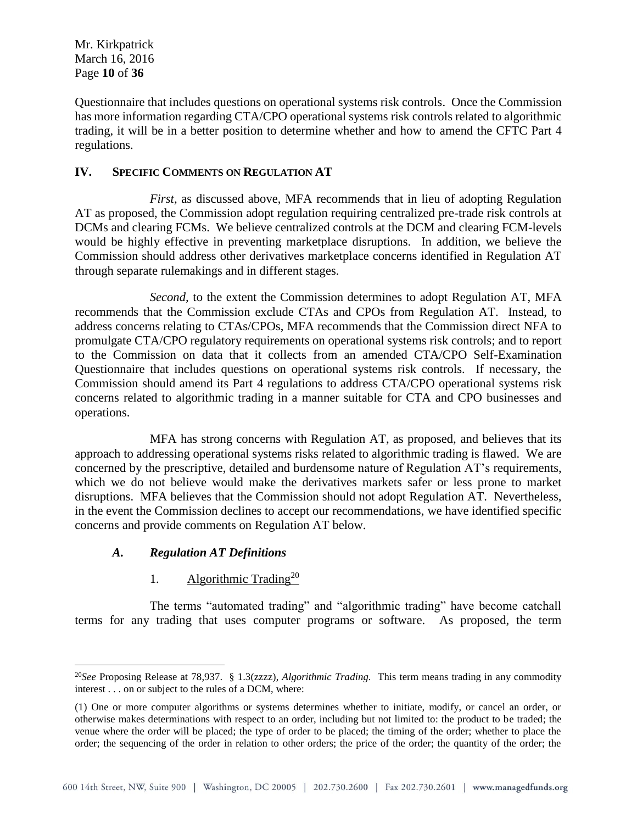Questionnaire that includes questions on operational systems risk controls. Once the Commission has more information regarding CTA/CPO operational systems risk controls related to algorithmic trading, it will be in a better position to determine whether and how to amend the CFTC Part 4 regulations.

## **IV. SPECIFIC COMMENTS ON REGULATION AT**

*First,* as discussed above, MFA recommends that in lieu of adopting Regulation AT as proposed, the Commission adopt regulation requiring centralized pre-trade risk controls at DCMs and clearing FCMs. We believe centralized controls at the DCM and clearing FCM-levels would be highly effective in preventing marketplace disruptions. In addition, we believe the Commission should address other derivatives marketplace concerns identified in Regulation AT through separate rulemakings and in different stages.

*Second,* to the extent the Commission determines to adopt Regulation AT, MFA recommends that the Commission exclude CTAs and CPOs from Regulation AT. Instead, to address concerns relating to CTAs/CPOs, MFA recommends that the Commission direct NFA to promulgate CTA/CPO regulatory requirements on operational systems risk controls; and to report to the Commission on data that it collects from an amended CTA/CPO Self-Examination Questionnaire that includes questions on operational systems risk controls. If necessary, the Commission should amend its Part 4 regulations to address CTA/CPO operational systems risk concerns related to algorithmic trading in a manner suitable for CTA and CPO businesses and operations.

MFA has strong concerns with Regulation AT, as proposed, and believes that its approach to addressing operational systems risks related to algorithmic trading is flawed. We are concerned by the prescriptive, detailed and burdensome nature of Regulation AT's requirements, which we do not believe would make the derivatives markets safer or less prone to market disruptions. MFA believes that the Commission should not adopt Regulation AT. Nevertheless, in the event the Commission declines to accept our recommendations, we have identified specific concerns and provide comments on Regulation AT below.

# *A. Regulation AT Definitions*

 $\overline{a}$ 

# 1. Algorithmic Trading<sup>20</sup>

The terms "automated trading" and "algorithmic trading" have become catchall terms for any trading that uses computer programs or software. As proposed, the term

<sup>20</sup>*See* Proposing Release at 78,937. § 1.3(zzzz), *Algorithmic Trading.* This term means trading in any commodity interest . . . on or subject to the rules of a DCM, where:

<sup>(1)</sup> One or more computer algorithms or systems determines whether to initiate, modify, or cancel an order, or otherwise makes determinations with respect to an order, including but not limited to: the product to be traded; the venue where the order will be placed; the type of order to be placed; the timing of the order; whether to place the order; the sequencing of the order in relation to other orders; the price of the order; the quantity of the order; the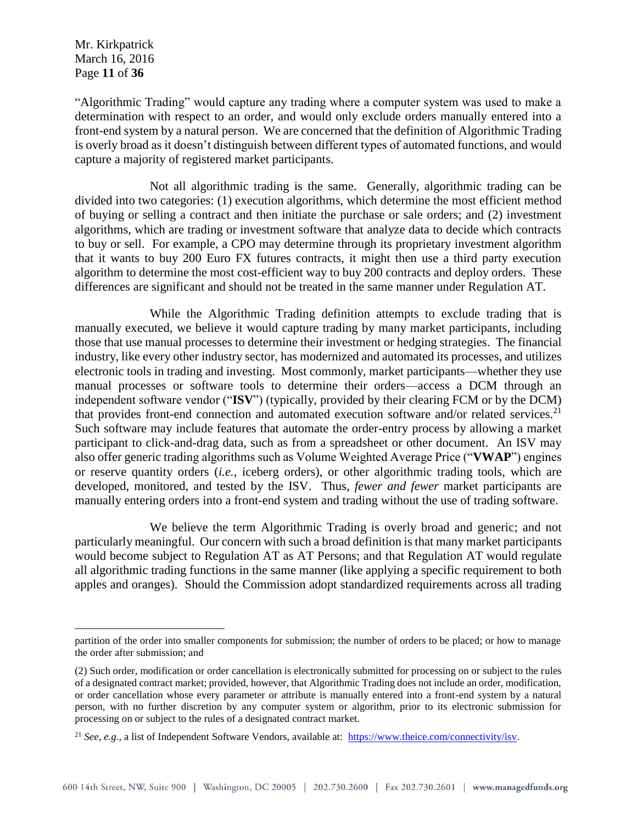Mr. Kirkpatrick March 16, 2016 Page **11** of **36**

 $\overline{a}$ 

"Algorithmic Trading" would capture any trading where a computer system was used to make a determination with respect to an order, and would only exclude orders manually entered into a front-end system by a natural person. We are concerned that the definition of Algorithmic Trading is overly broad as it doesn't distinguish between different types of automated functions, and would capture a majority of registered market participants.

Not all algorithmic trading is the same. Generally, algorithmic trading can be divided into two categories: (1) execution algorithms, which determine the most efficient method of buying or selling a contract and then initiate the purchase or sale orders; and (2) investment algorithms, which are trading or investment software that analyze data to decide which contracts to buy or sell. For example, a CPO may determine through its proprietary investment algorithm that it wants to buy 200 Euro FX futures contracts, it might then use a third party execution algorithm to determine the most cost-efficient way to buy 200 contracts and deploy orders. These differences are significant and should not be treated in the same manner under Regulation AT.

While the Algorithmic Trading definition attempts to exclude trading that is manually executed, we believe it would capture trading by many market participants, including those that use manual processes to determine their investment or hedging strategies. The financial industry, like every other industry sector, has modernized and automated its processes, and utilizes electronic tools in trading and investing. Most commonly, market participants—whether they use manual processes or software tools to determine their orders—access a DCM through an independent software vendor ("**ISV**") (typically, provided by their clearing FCM or by the DCM) that provides front-end connection and automated execution software and/or related services.<sup>21</sup> Such software may include features that automate the order-entry process by allowing a market participant to click-and-drag data, such as from a spreadsheet or other document. An ISV may also offer generic trading algorithms such as Volume Weighted Average Price ("**VWAP**") engines or reserve quantity orders (*i.e.,* iceberg orders), or other algorithmic trading tools, which are developed, monitored, and tested by the ISV. Thus, *fewer and fewer* market participants are manually entering orders into a front-end system and trading without the use of trading software.

We believe the term Algorithmic Trading is overly broad and generic; and not particularly meaningful. Our concern with such a broad definition is that many market participants would become subject to Regulation AT as AT Persons; and that Regulation AT would regulate all algorithmic trading functions in the same manner (like applying a specific requirement to both apples and oranges). Should the Commission adopt standardized requirements across all trading

partition of the order into smaller components for submission; the number of orders to be placed; or how to manage the order after submission; and

<sup>(2)</sup> Such order, modification or order cancellation is electronically submitted for processing on or subject to the rules of a designated contract market; provided, however, that Algorithmic Trading does not include an order, modification, or order cancellation whose every parameter or attribute is manually entered into a front-end system by a natural person, with no further discretion by any computer system or algorithm, prior to its electronic submission for processing on or subject to the rules of a designated contract market.

<sup>&</sup>lt;sup>21</sup> *See, e.g.,* a list of Independent Software Vendors, available at: [https://www.theice.com/connectivity/isv.](https://www.theice.com/connectivity/isv)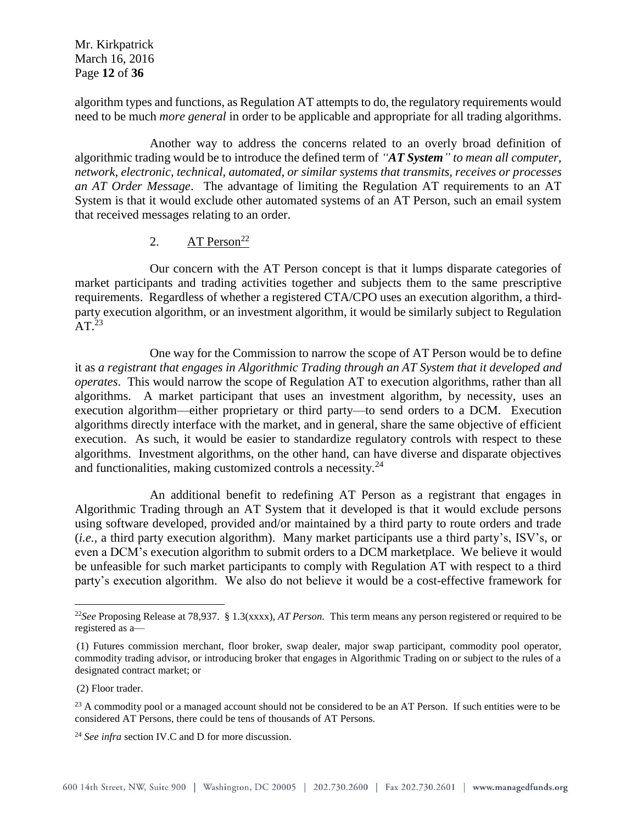Mr. Kirkpatrick March 16, 2016 Page **12** of **36**

algorithm types and functions, as Regulation AT attempts to do, the regulatory requirements would need to be much *more general* in order to be applicable and appropriate for all trading algorithms.

Another way to address the concerns related to an overly broad definition of algorithmic trading would be to introduce the defined term of *"AT System" to mean all computer, network, electronic, technical, automated, or similar systems that transmits, receives or processes an AT Order Message*. The advantage of limiting the Regulation AT requirements to an AT System is that it would exclude other automated systems of an AT Person, such an email system that received messages relating to an order.

# 2. AT Person<sup>22</sup>

Our concern with the AT Person concept is that it lumps disparate categories of market participants and trading activities together and subjects them to the same prescriptive requirements. Regardless of whether a registered CTA/CPO uses an execution algorithm, a thirdparty execution algorithm, or an investment algorithm, it would be similarly subject to Regulation  $AT<sup>23</sup>$ 

One way for the Commission to narrow the scope of AT Person would be to define it as *a registrant that engages in Algorithmic Trading through an AT System that it developed and operates*. This would narrow the scope of Regulation AT to execution algorithms, rather than all algorithms. A market participant that uses an investment algorithm, by necessity, uses an execution algorithm—either proprietary or third party—to send orders to a DCM. Execution algorithms directly interface with the market, and in general, share the same objective of efficient execution. As such, it would be easier to standardize regulatory controls with respect to these algorithms. Investment algorithms, on the other hand, can have diverse and disparate objectives and functionalities, making customized controls a necessity.<sup>24</sup>

An additional benefit to redefining AT Person as a registrant that engages in Algorithmic Trading through an AT System that it developed is that it would exclude persons using software developed, provided and/or maintained by a third party to route orders and trade (*i.e.,* a third party execution algorithm). Many market participants use a third party's, ISV's, or even a DCM's execution algorithm to submit orders to a DCM marketplace. We believe it would be unfeasible for such market participants to comply with Regulation AT with respect to a third party's execution algorithm. We also do not believe it would be a cost-effective framework for

<sup>22</sup>*See* Proposing Release at 78,937. § 1.3(xxxx), *AT Person.* This term means any person registered or required to be registered as a—

<sup>(1)</sup> Futures commission merchant, floor broker, swap dealer, major swap participant, commodity pool operator, commodity trading advisor, or introducing broker that engages in Algorithmic Trading on or subject to the rules of a designated contract market; or

<sup>(2)</sup> Floor trader.

<sup>&</sup>lt;sup>23</sup> A commodity pool or a managed account should not be considered to be an AT Person. If such entities were to be considered AT Persons, there could be tens of thousands of AT Persons.

<sup>24</sup> *See infra* section IV.C and D for more discussion.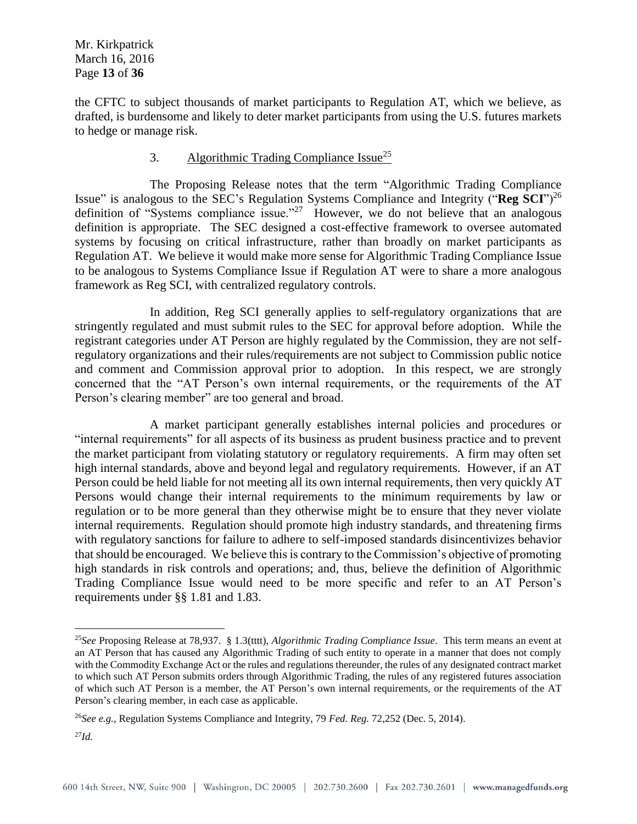the CFTC to subject thousands of market participants to Regulation AT, which we believe, as drafted, is burdensome and likely to deter market participants from using the U.S. futures markets to hedge or manage risk.

## 3. Algorithmic Trading Compliance Issue<sup>25</sup>

The Proposing Release notes that the term "Algorithmic Trading Compliance Issue" is analogous to the SEC's Regulation Systems Compliance and Integrity ("**Reg SCI**")<sup>26</sup> definition of "Systems compliance issue."<sup>27</sup> However, we do not believe that an analogous definition is appropriate. The SEC designed a cost-effective framework to oversee automated systems by focusing on critical infrastructure, rather than broadly on market participants as Regulation AT. We believe it would make more sense for Algorithmic Trading Compliance Issue to be analogous to Systems Compliance Issue if Regulation AT were to share a more analogous framework as Reg SCI, with centralized regulatory controls.

In addition, Reg SCI generally applies to self-regulatory organizations that are stringently regulated and must submit rules to the SEC for approval before adoption. While the registrant categories under AT Person are highly regulated by the Commission, they are not selfregulatory organizations and their rules/requirements are not subject to Commission public notice and comment and Commission approval prior to adoption. In this respect, we are strongly concerned that the "AT Person's own internal requirements, or the requirements of the AT Person's clearing member" are too general and broad.

A market participant generally establishes internal policies and procedures or "internal requirements" for all aspects of its business as prudent business practice and to prevent the market participant from violating statutory or regulatory requirements. A firm may often set high internal standards, above and beyond legal and regulatory requirements. However, if an AT Person could be held liable for not meeting all its own internal requirements, then very quickly AT Persons would change their internal requirements to the minimum requirements by law or regulation or to be more general than they otherwise might be to ensure that they never violate internal requirements. Regulation should promote high industry standards, and threatening firms with regulatory sanctions for failure to adhere to self-imposed standards disincentivizes behavior that should be encouraged. We believe this is contrary to the Commission's objective of promoting high standards in risk controls and operations; and, thus, believe the definition of Algorithmic Trading Compliance Issue would need to be more specific and refer to an AT Person's requirements under §§ 1.81 and 1.83.

<sup>25</sup>*See* Proposing Release at 78,937. § 1.3(tttt), *Algorithmic Trading Compliance Issue*. This term means an event at an AT Person that has caused any Algorithmic Trading of such entity to operate in a manner that does not comply with the Commodity Exchange Act or the rules and regulations thereunder, the rules of any designated contract market to which such AT Person submits orders through Algorithmic Trading, the rules of any registered futures association of which such AT Person is a member, the AT Person's own internal requirements, or the requirements of the AT Person's clearing member, in each case as applicable.

<sup>26</sup>*See e.g.,* Regulation Systems Compliance and Integrity, 79 *Fed. Reg.* 72,252 (Dec. 5, 2014).

<sup>27</sup>*Id.*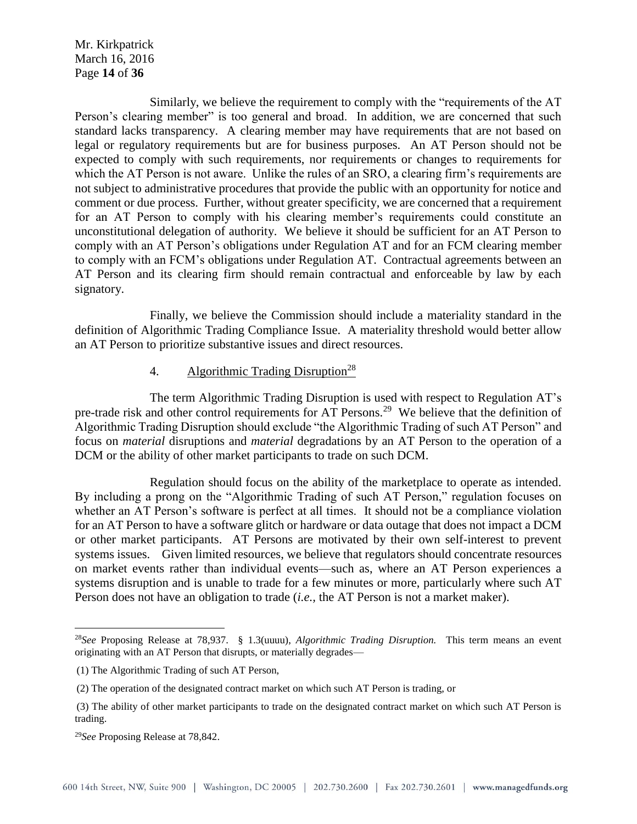Mr. Kirkpatrick March 16, 2016 Page **14** of **36**

Similarly, we believe the requirement to comply with the "requirements of the AT Person's clearing member" is too general and broad. In addition, we are concerned that such standard lacks transparency. A clearing member may have requirements that are not based on legal or regulatory requirements but are for business purposes. An AT Person should not be expected to comply with such requirements, nor requirements or changes to requirements for which the AT Person is not aware. Unlike the rules of an SRO, a clearing firm's requirements are not subject to administrative procedures that provide the public with an opportunity for notice and comment or due process. Further, without greater specificity, we are concerned that a requirement for an AT Person to comply with his clearing member's requirements could constitute an unconstitutional delegation of authority. We believe it should be sufficient for an AT Person to comply with an AT Person's obligations under Regulation AT and for an FCM clearing member to comply with an FCM's obligations under Regulation AT. Contractual agreements between an AT Person and its clearing firm should remain contractual and enforceable by law by each signatory.

Finally, we believe the Commission should include a materiality standard in the definition of Algorithmic Trading Compliance Issue. A materiality threshold would better allow an AT Person to prioritize substantive issues and direct resources.

#### 4. Algorithmic Trading Disruption<sup>28</sup>

The term Algorithmic Trading Disruption is used with respect to Regulation AT's pre-trade risk and other control requirements for AT Persons.<sup>29</sup> We believe that the definition of Algorithmic Trading Disruption should exclude "the Algorithmic Trading of such AT Person" and focus on *material* disruptions and *material* degradations by an AT Person to the operation of a DCM or the ability of other market participants to trade on such DCM.

Regulation should focus on the ability of the marketplace to operate as intended. By including a prong on the "Algorithmic Trading of such AT Person," regulation focuses on whether an AT Person's software is perfect at all times. It should not be a compliance violation for an AT Person to have a software glitch or hardware or data outage that does not impact a DCM or other market participants. AT Persons are motivated by their own self-interest to prevent systems issues. Given limited resources, we believe that regulators should concentrate resources on market events rather than individual events—such as, where an AT Person experiences a systems disruption and is unable to trade for a few minutes or more, particularly where such AT Person does not have an obligation to trade (*i.e.,* the AT Person is not a market maker).

<sup>28</sup>*See* Proposing Release at 78,937. § 1.3(uuuu), *Algorithmic Trading Disruption.* This term means an event originating with an AT Person that disrupts, or materially degrades—

<sup>(1)</sup> The Algorithmic Trading of such AT Person,

<sup>(2)</sup> The operation of the designated contract market on which such AT Person is trading, or

<sup>(3)</sup> The ability of other market participants to trade on the designated contract market on which such AT Person is trading.

<sup>29</sup>*See* Proposing Release at 78,842.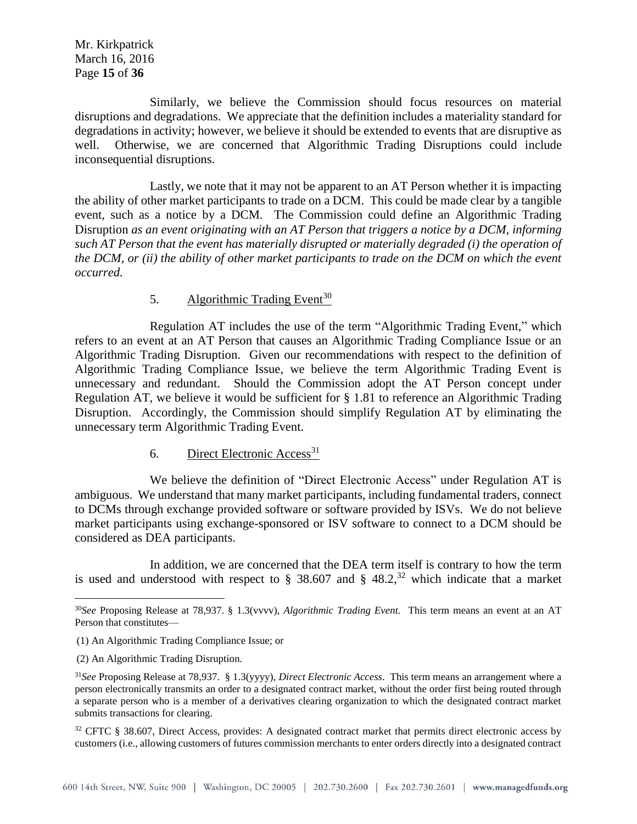Mr. Kirkpatrick March 16, 2016 Page **15** of **36**

Similarly, we believe the Commission should focus resources on material disruptions and degradations. We appreciate that the definition includes a materiality standard for degradations in activity; however, we believe it should be extended to events that are disruptive as well. Otherwise, we are concerned that Algorithmic Trading Disruptions could include inconsequential disruptions.

Lastly, we note that it may not be apparent to an AT Person whether it is impacting the ability of other market participants to trade on a DCM. This could be made clear by a tangible event, such as a notice by a DCM. The Commission could define an Algorithmic Trading Disruption *as an event originating with an AT Person that triggers a notice by a DCM, informing such AT Person that the event has materially disrupted or materially degraded (i) the operation of the DCM, or (ii) the ability of other market participants to trade on the DCM on which the event occurred.*

## 5. Algorithmic Trading Event<sup>30</sup>

Regulation AT includes the use of the term "Algorithmic Trading Event," which refers to an event at an AT Person that causes an Algorithmic Trading Compliance Issue or an Algorithmic Trading Disruption. Given our recommendations with respect to the definition of Algorithmic Trading Compliance Issue, we believe the term Algorithmic Trading Event is unnecessary and redundant. Should the Commission adopt the AT Person concept under Regulation AT, we believe it would be sufficient for § 1.81 to reference an Algorithmic Trading Disruption. Accordingly, the Commission should simplify Regulation AT by eliminating the unnecessary term Algorithmic Trading Event.

#### 6. Direct Electronic Access<sup>31</sup>

We believe the definition of "Direct Electronic Access" under Regulation AT is ambiguous. We understand that many market participants, including fundamental traders, connect to DCMs through exchange provided software or software provided by ISVs. We do not believe market participants using exchange-sponsored or ISV software to connect to a DCM should be considered as DEA participants.

In addition, we are concerned that the DEA term itself is contrary to how the term is used and understood with respect to § 38.607 and § 48.2,<sup>32</sup> which indicate that a market

(2) An Algorithmic Trading Disruption.

 $\overline{a}$ 

<sup>32</sup> CFTC § 38.607, Direct Access, provides: A designated contract market that permits direct electronic access by customers (i.e., allowing customers of futures commission merchants to enter orders directly into a designated contract

<sup>30</sup>*See* Proposing Release at 78,937. § 1.3(vvvv), *Algorithmic Trading Event.* This term means an event at an AT Person that constitutes—

<sup>(1)</sup> An Algorithmic Trading Compliance Issue; or

<sup>31</sup>*See* Proposing Release at 78,937. § 1.3(yyyy), *Direct Electronic Access*. This term means an arrangement where a person electronically transmits an order to a designated contract market, without the order first being routed through a separate person who is a member of a derivatives clearing organization to which the designated contract market submits transactions for clearing.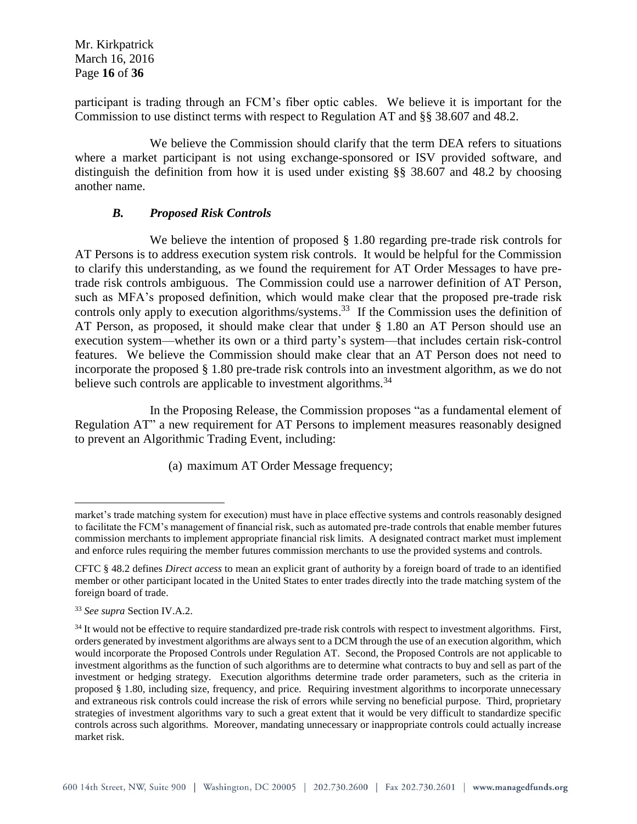Mr. Kirkpatrick March 16, 2016 Page **16** of **36**

participant is trading through an FCM's fiber optic cables. We believe it is important for the Commission to use distinct terms with respect to Regulation AT and §§ 38.607 and 48.2.

We believe the Commission should clarify that the term DEA refers to situations where a market participant is not using exchange-sponsored or ISV provided software, and distinguish the definition from how it is used under existing §§ 38.607 and 48.2 by choosing another name.

#### *B. Proposed Risk Controls*

We believe the intention of proposed § 1.80 regarding pre-trade risk controls for AT Persons is to address execution system risk controls. It would be helpful for the Commission to clarify this understanding, as we found the requirement for AT Order Messages to have pretrade risk controls ambiguous. The Commission could use a narrower definition of AT Person, such as MFA's proposed definition, which would make clear that the proposed pre-trade risk controls only apply to execution algorithms/systems.<sup>33</sup> If the Commission uses the definition of AT Person, as proposed, it should make clear that under § 1.80 an AT Person should use an execution system—whether its own or a third party's system—that includes certain risk-control features. We believe the Commission should make clear that an AT Person does not need to incorporate the proposed § 1.80 pre-trade risk controls into an investment algorithm, as we do not believe such controls are applicable to investment algorithms.<sup>34</sup>

In the Proposing Release, the Commission proposes "as a fundamental element of Regulation AT" a new requirement for AT Persons to implement measures reasonably designed to prevent an Algorithmic Trading Event, including:

(a) maximum AT Order Message frequency;

market's trade matching system for execution) must have in place effective systems and controls reasonably designed to facilitate the FCM's management of financial risk, such as automated pre-trade controls that enable member futures commission merchants to implement appropriate financial risk limits. A designated contract market must implement and enforce rules requiring the member futures commission merchants to use the provided systems and controls.

CFTC § 48.2 defines *Direct access* to mean an explicit grant of authority by a foreign board of trade to an identified member or other participant located in the United States to enter trades directly into the trade matching system of the foreign board of trade.

<sup>33</sup> *See supra* Section IV.A.2.

<sup>&</sup>lt;sup>34</sup> It would not be effective to require standardized pre-trade risk controls with respect to investment algorithms. First, orders generated by investment algorithms are always sent to a DCM through the use of an execution algorithm, which would incorporate the Proposed Controls under Regulation AT. Second, the Proposed Controls are not applicable to investment algorithms as the function of such algorithms are to determine what contracts to buy and sell as part of the investment or hedging strategy. Execution algorithms determine trade order parameters, such as the criteria in proposed § 1.80, including size, frequency, and price. Requiring investment algorithms to incorporate unnecessary and extraneous risk controls could increase the risk of errors while serving no beneficial purpose. Third, proprietary strategies of investment algorithms vary to such a great extent that it would be very difficult to standardize specific controls across such algorithms. Moreover, mandating unnecessary or inappropriate controls could actually increase market risk.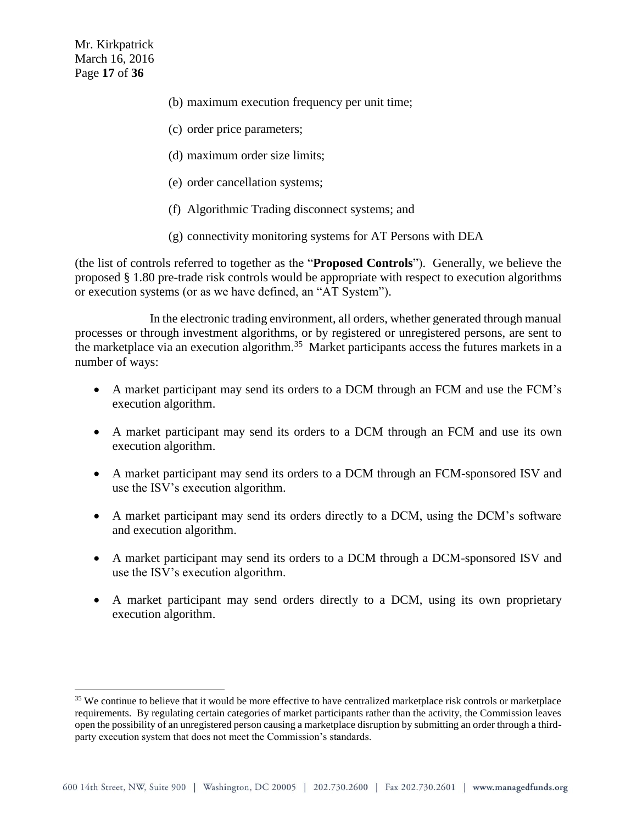$\overline{a}$ 

- (b) maximum execution frequency per unit time;
- (c) order price parameters;
- (d) maximum order size limits;
- (e) order cancellation systems;
- (f) Algorithmic Trading disconnect systems; and
- (g) connectivity monitoring systems for AT Persons with DEA

(the list of controls referred to together as the "**Proposed Controls**"). Generally, we believe the proposed § 1.80 pre-trade risk controls would be appropriate with respect to execution algorithms or execution systems (or as we have defined, an "AT System").

In the electronic trading environment, all orders, whether generated through manual processes or through investment algorithms, or by registered or unregistered persons, are sent to the marketplace via an execution algorithm.<sup>35</sup> Market participants access the futures markets in a number of ways:

- A market participant may send its orders to a DCM through an FCM and use the FCM's execution algorithm.
- A market participant may send its orders to a DCM through an FCM and use its own execution algorithm.
- A market participant may send its orders to a DCM through an FCM-sponsored ISV and use the ISV's execution algorithm.
- A market participant may send its orders directly to a DCM, using the DCM's software and execution algorithm.
- A market participant may send its orders to a DCM through a DCM-sponsored ISV and use the ISV's execution algorithm.
- A market participant may send orders directly to a DCM, using its own proprietary execution algorithm.

<sup>&</sup>lt;sup>35</sup> We continue to believe that it would be more effective to have centralized marketplace risk controls or marketplace requirements. By regulating certain categories of market participants rather than the activity, the Commission leaves open the possibility of an unregistered person causing a marketplace disruption by submitting an order through a thirdparty execution system that does not meet the Commission's standards.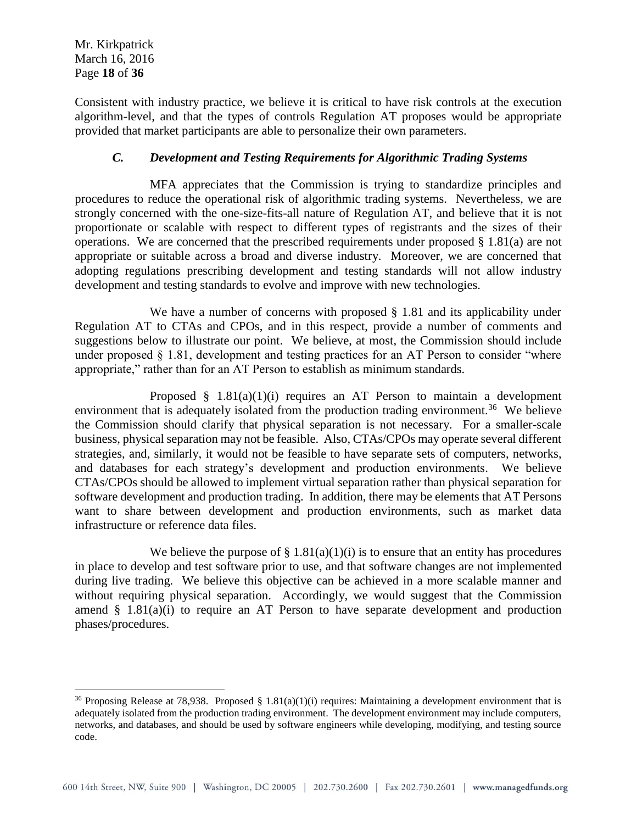$\overline{a}$ 

Consistent with industry practice, we believe it is critical to have risk controls at the execution algorithm-level, and that the types of controls Regulation AT proposes would be appropriate provided that market participants are able to personalize their own parameters.

# *C. Development and Testing Requirements for Algorithmic Trading Systems*

MFA appreciates that the Commission is trying to standardize principles and procedures to reduce the operational risk of algorithmic trading systems. Nevertheless, we are strongly concerned with the one-size-fits-all nature of Regulation AT, and believe that it is not proportionate or scalable with respect to different types of registrants and the sizes of their operations. We are concerned that the prescribed requirements under proposed § 1.81(a) are not appropriate or suitable across a broad and diverse industry. Moreover, we are concerned that adopting regulations prescribing development and testing standards will not allow industry development and testing standards to evolve and improve with new technologies.

We have a number of concerns with proposed § 1.81 and its applicability under Regulation AT to CTAs and CPOs, and in this respect, provide a number of comments and suggestions below to illustrate our point. We believe, at most, the Commission should include under proposed  $\S$  1.81, development and testing practices for an AT Person to consider "where appropriate," rather than for an AT Person to establish as minimum standards.

Proposed  $§$  1.81(a)(1)(i) requires an AT Person to maintain a development environment that is adequately isolated from the production trading environment.<sup>36</sup> We believe the Commission should clarify that physical separation is not necessary. For a smaller-scale business, physical separation may not be feasible. Also, CTAs/CPOs may operate several different strategies, and, similarly, it would not be feasible to have separate sets of computers, networks, and databases for each strategy's development and production environments. We believe CTAs/CPOs should be allowed to implement virtual separation rather than physical separation for software development and production trading. In addition, there may be elements that AT Persons want to share between development and production environments, such as market data infrastructure or reference data files.

We believe the purpose of  $\S 1.81(a)(1)(i)$  is to ensure that an entity has procedures in place to develop and test software prior to use, and that software changes are not implemented during live trading. We believe this objective can be achieved in a more scalable manner and without requiring physical separation. Accordingly, we would suggest that the Commission amend  $\S$  1.81(a)(i) to require an AT Person to have separate development and production phases/procedures.

<sup>&</sup>lt;sup>36</sup> Proposing Release at 78,938. Proposed § 1.81(a)(1)(i) requires: Maintaining a development environment that is adequately isolated from the production trading environment. The development environment may include computers, networks, and databases, and should be used by software engineers while developing, modifying, and testing source code.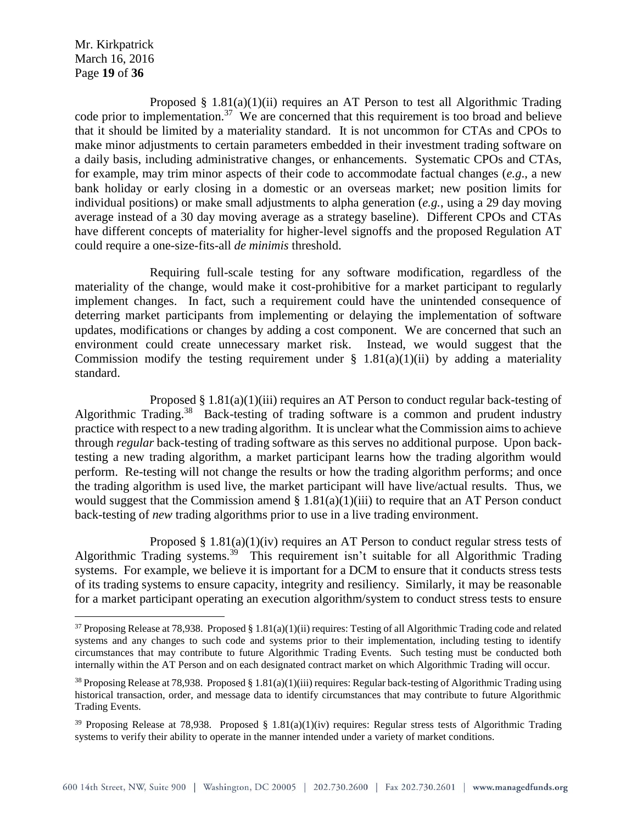Mr. Kirkpatrick March 16, 2016 Page **19** of **36**

 $\overline{a}$ 

Proposed § 1.81(a)(1)(ii) requires an AT Person to test all Algorithmic Trading code prior to implementation.<sup>37</sup> We are concerned that this requirement is too broad and believe that it should be limited by a materiality standard. It is not uncommon for CTAs and CPOs to make minor adjustments to certain parameters embedded in their investment trading software on a daily basis, including administrative changes, or enhancements. Systematic CPOs and CTAs, for example, may trim minor aspects of their code to accommodate factual changes (*e.g*., a new bank holiday or early closing in a domestic or an overseas market; new position limits for individual positions) or make small adjustments to alpha generation (*e.g.*, using a 29 day moving average instead of a 30 day moving average as a strategy baseline). Different CPOs and CTAs have different concepts of materiality for higher-level signoffs and the proposed Regulation AT could require a one-size-fits-all *de minimis* threshold.

Requiring full-scale testing for any software modification, regardless of the materiality of the change, would make it cost-prohibitive for a market participant to regularly implement changes. In fact, such a requirement could have the unintended consequence of deterring market participants from implementing or delaying the implementation of software updates, modifications or changes by adding a cost component. We are concerned that such an environment could create unnecessary market risk. Instead, we would suggest that the Commission modify the testing requirement under  $\S$  1.81(a)(1)(ii) by adding a materiality standard.

Proposed  $\S 1.81(a)(1)(iii)$  requires an AT Person to conduct regular back-testing of Algorithmic Trading.<sup>38</sup> Back-testing of trading software is a common and prudent industry practice with respect to a new trading algorithm. It is unclear what the Commission aims to achieve through *regular* back-testing of trading software as this serves no additional purpose. Upon backtesting a new trading algorithm, a market participant learns how the trading algorithm would perform. Re-testing will not change the results or how the trading algorithm performs; and once the trading algorithm is used live, the market participant will have live/actual results. Thus, we would suggest that the Commission amend  $\S 1.81(a)(1)(iii)$  to require that an AT Person conduct back-testing of *new* trading algorithms prior to use in a live trading environment.

Proposed  $\S$  1.81(a)(1)(iv) requires an AT Person to conduct regular stress tests of Algorithmic Trading systems.<sup>39</sup> This requirement isn't suitable for all Algorithmic Trading systems. For example, we believe it is important for a DCM to ensure that it conducts stress tests of its trading systems to ensure capacity, integrity and resiliency. Similarly, it may be reasonable for a market participant operating an execution algorithm/system to conduct stress tests to ensure

<sup>&</sup>lt;sup>37</sup> Proposing Release at 78,938. Proposed § 1.81(a)(1)(ii) requires: Testing of all Algorithmic Trading code and related systems and any changes to such code and systems prior to their implementation, including testing to identify circumstances that may contribute to future Algorithmic Trading Events. Such testing must be conducted both internally within the AT Person and on each designated contract market on which Algorithmic Trading will occur.

<sup>&</sup>lt;sup>38</sup> Proposing Release at 78,938. Proposed § 1.81(a)(1)(iii) requires: Regular back-testing of Algorithmic Trading using historical transaction, order, and message data to identify circumstances that may contribute to future Algorithmic Trading Events.

<sup>&</sup>lt;sup>39</sup> Proposing Release at 78,938. Proposed § 1.81(a)(1)(iv) requires: Regular stress tests of Algorithmic Trading systems to verify their ability to operate in the manner intended under a variety of market conditions.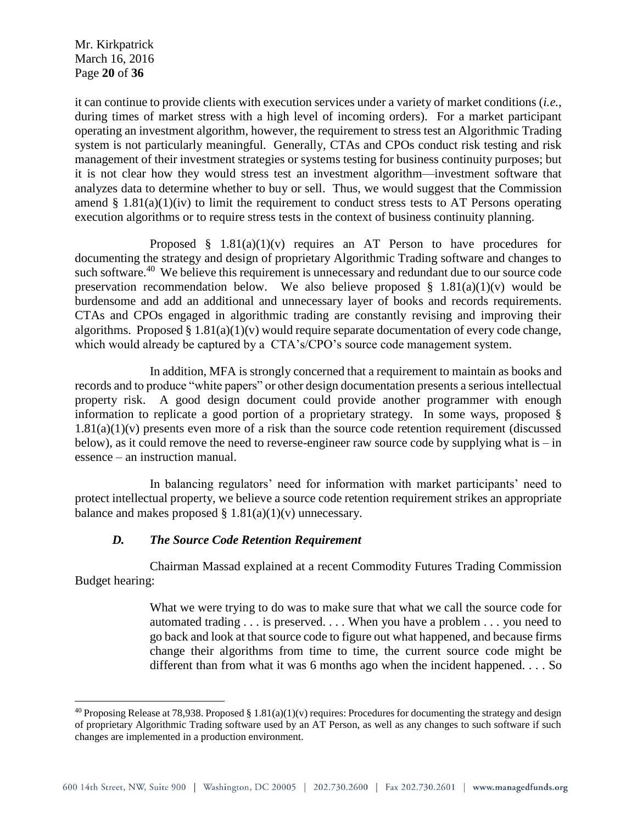Mr. Kirkpatrick March 16, 2016 Page **20** of **36**

 $\overline{a}$ 

it can continue to provide clients with execution services under a variety of market conditions (*i.e.*, during times of market stress with a high level of incoming orders). For a market participant operating an investment algorithm, however, the requirement to stress test an Algorithmic Trading system is not particularly meaningful. Generally, CTAs and CPOs conduct risk testing and risk management of their investment strategies or systems testing for business continuity purposes; but it is not clear how they would stress test an investment algorithm—investment software that analyzes data to determine whether to buy or sell. Thus, we would suggest that the Commission amend  $\S 1.81(a)(1)(iv)$  to limit the requirement to conduct stress tests to AT Persons operating execution algorithms or to require stress tests in the context of business continuity planning.

Proposed  $\S$  1.81(a)(1)(v) requires an AT Person to have procedures for documenting the strategy and design of proprietary Algorithmic Trading software and changes to such software.<sup>40</sup> We believe this requirement is unnecessary and redundant due to our source code preservation recommendation below. We also believe proposed  $\S$  1.81(a)(1)(v) would be burdensome and add an additional and unnecessary layer of books and records requirements. CTAs and CPOs engaged in algorithmic trading are constantly revising and improving their algorithms. Proposed  $\S 1.81(a)(1)(v)$  would require separate documentation of every code change, which would already be captured by a CTA's/CPO's source code management system.

In addition, MFA is strongly concerned that a requirement to maintain as books and records and to produce "white papers" or other design documentation presents a serious intellectual property risk. A good design document could provide another programmer with enough information to replicate a good portion of a proprietary strategy. In some ways, proposed §  $1.81(a)(1)(v)$  presents even more of a risk than the source code retention requirement (discussed below), as it could remove the need to reverse-engineer raw source code by supplying what is – in essence – an instruction manual.

In balancing regulators' need for information with market participants' need to protect intellectual property, we believe a source code retention requirement strikes an appropriate balance and makes proposed  $\S 1.81(a)(1)(v)$  unnecessary.

# *D. The Source Code Retention Requirement*

Chairman Massad explained at a recent Commodity Futures Trading Commission Budget hearing:

> What we were trying to do was to make sure that what we call the source code for automated trading . . . is preserved. . . . When you have a problem . . . you need to go back and look at that source code to figure out what happened, and because firms change their algorithms from time to time, the current source code might be different than from what it was 6 months ago when the incident happened. . . . So

<sup>&</sup>lt;sup>40</sup> Proposing Release at 78,938. Proposed § 1.81(a)(1)(v) requires: Procedures for documenting the strategy and design of proprietary Algorithmic Trading software used by an AT Person, as well as any changes to such software if such changes are implemented in a production environment.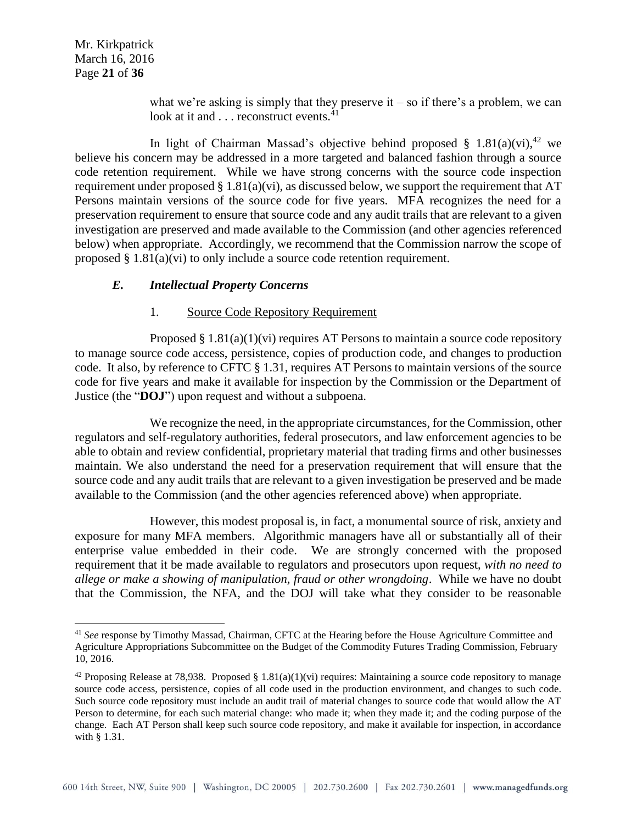Mr. Kirkpatrick March 16, 2016 Page **21** of **36**

 $\overline{a}$ 

what we're asking is simply that they preserve it – so if there's a problem, we can look at it and . . . reconstruct events.<sup>41</sup>

In light of Chairman Massad's objective behind proposed § 1.81(a)(vi),<sup>42</sup> we believe his concern may be addressed in a more targeted and balanced fashion through a source code retention requirement. While we have strong concerns with the source code inspection requirement under proposed  $\S 1.81(a)(vi)$ , as discussed below, we support the requirement that AT Persons maintain versions of the source code for five years. MFA recognizes the need for a preservation requirement to ensure that source code and any audit trails that are relevant to a given investigation are preserved and made available to the Commission (and other agencies referenced below) when appropriate. Accordingly, we recommend that the Commission narrow the scope of proposed  $\S 1.81(a)(vi)$  to only include a source code retention requirement.

## *E. Intellectual Property Concerns*

#### 1. Source Code Repository Requirement

Proposed  $\S 1.81(a)(1)(vi)$  requires AT Persons to maintain a source code repository to manage source code access, persistence, copies of production code, and changes to production code. It also, by reference to CFTC § 1.31, requires AT Persons to maintain versions of the source code for five years and make it available for inspection by the Commission or the Department of Justice (the "**DOJ**") upon request and without a subpoena.

We recognize the need, in the appropriate circumstances, for the Commission, other regulators and self-regulatory authorities, federal prosecutors, and law enforcement agencies to be able to obtain and review confidential, proprietary material that trading firms and other businesses maintain. We also understand the need for a preservation requirement that will ensure that the source code and any audit trails that are relevant to a given investigation be preserved and be made available to the Commission (and the other agencies referenced above) when appropriate.

However, this modest proposal is, in fact, a monumental source of risk, anxiety and exposure for many MFA members. Algorithmic managers have all or substantially all of their enterprise value embedded in their code. We are strongly concerned with the proposed requirement that it be made available to regulators and prosecutors upon request, *with no need to allege or make a showing of manipulation, fraud or other wrongdoing*. While we have no doubt that the Commission, the NFA, and the DOJ will take what they consider to be reasonable

<sup>41</sup> *See* response by Timothy Massad, Chairman, CFTC at the Hearing before the House Agriculture Committee and Agriculture Appropriations Subcommittee on the Budget of the Commodity Futures Trading Commission, February 10, 2016.

<sup>&</sup>lt;sup>42</sup> Proposing Release at 78,938. Proposed § 1.81(a)(1)(vi) requires: Maintaining a source code repository to manage source code access, persistence, copies of all code used in the production environment, and changes to such code. Such source code repository must include an audit trail of material changes to source code that would allow the AT Person to determine, for each such material change: who made it; when they made it; and the coding purpose of the change. Each AT Person shall keep such source code repository, and make it available for inspection, in accordance with § 1.31.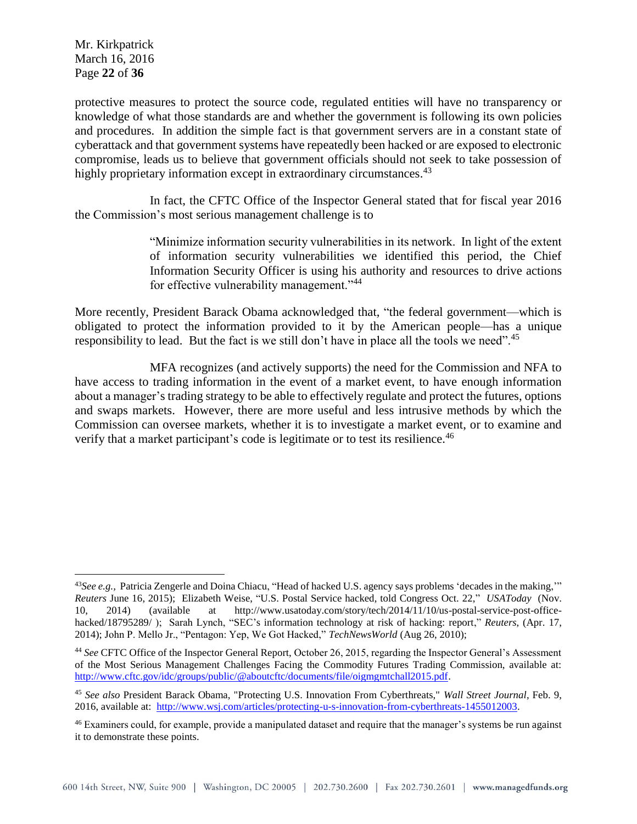Mr. Kirkpatrick March 16, 2016 Page **22** of **36**

 $\overline{a}$ 

protective measures to protect the source code, regulated entities will have no transparency or knowledge of what those standards are and whether the government is following its own policies and procedures. In addition the simple fact is that government servers are in a constant state of cyberattack and that government systems have repeatedly been hacked or are exposed to electronic compromise, leads us to believe that government officials should not seek to take possession of highly proprietary information except in extraordinary circumstances.<sup>43</sup>

In fact, the CFTC Office of the Inspector General stated that for fiscal year 2016 the Commission's most serious management challenge is to

> "Minimize information security vulnerabilities in its network. In light of the extent of information security vulnerabilities we identified this period, the Chief Information Security Officer is using his authority and resources to drive actions for effective vulnerability management."<sup>44</sup>

More recently, President Barack Obama acknowledged that, "the federal government—which is obligated to protect the information provided to it by the American people—has a unique responsibility to lead. But the fact is we still don't have in place all the tools we need".<sup>45</sup>

MFA recognizes (and actively supports) the need for the Commission and NFA to have access to trading information in the event of a market event, to have enough information about a manager's trading strategy to be able to effectively regulate and protect the futures, options and swaps markets. However, there are more useful and less intrusive methods by which the Commission can oversee markets, whether it is to investigate a market event, or to examine and verify that a market participant's code is legitimate or to test its resilience.<sup>46</sup>

<sup>43</sup>*See e.g.,* Patricia Zengerle and Doina Chiacu, "Head of hacked U.S. agency says problems 'decades in the making,'" *Reuters* June 16, 2015); Elizabeth Weise, "U.S. Postal Service hacked, told Congress Oct. 22," *USAToday* (Nov. 10, 2014) (available at http://www.usatoday.com/story/tech/2014/11/10/us-postal-service-post-officehacked/18795289/ ); Sarah Lynch, "SEC's information technology at risk of hacking: report," *Reuters*, (Apr. 17, 2014); John P. Mello Jr., "Pentagon: Yep, We Got Hacked," *TechNewsWorld* (Aug 26, 2010);

<sup>44</sup> *See* CFTC Office of the Inspector General Report, October 26, 2015, regarding the Inspector General's Assessment of the Most Serious Management Challenges Facing the Commodity Futures Trading Commission, available at: [http://www.cftc.gov/idc/groups/public/@aboutcftc/documents/file/oigmgmtchall2015.pdf.](http://www.cftc.gov/idc/groups/public/@aboutcftc/documents/file/oigmgmtchall2015.pdf)

<sup>45</sup> *See also* President Barack Obama, "Protecting U.S. Innovation From Cyberthreats," *Wall Street Journal*, Feb. 9, 2016, available at: [http://www.wsj.com/articles/protecting-u-s-innovation-from-cyberthreats-1455012003.](http://www.wsj.com/articles/protecting-u-s-innovation-from-cyberthreats-1455012003)

<sup>46</sup> Examiners could, for example, provide a manipulated dataset and require that the manager's systems be run against it to demonstrate these points.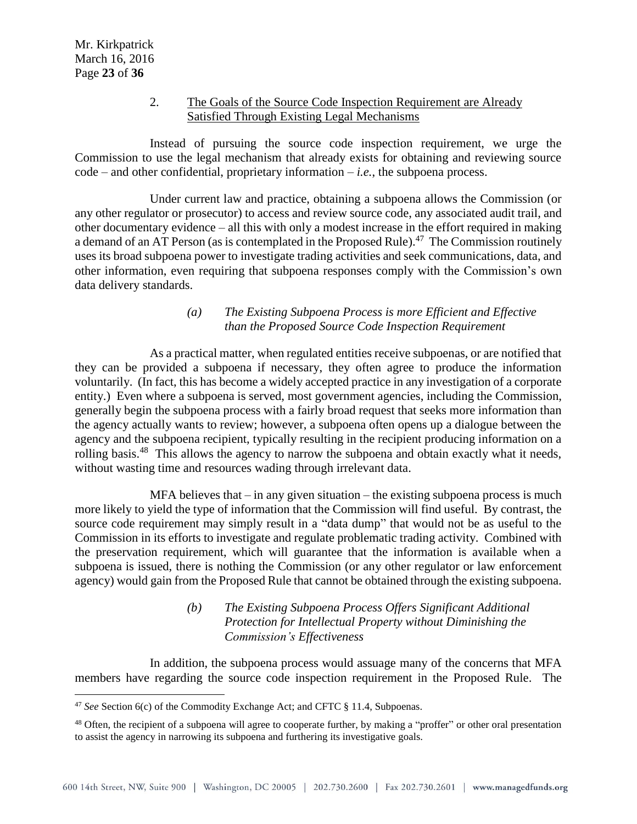$\overline{a}$ 

### 2. The Goals of the Source Code Inspection Requirement are Already Satisfied Through Existing Legal Mechanisms

Instead of pursuing the source code inspection requirement, we urge the Commission to use the legal mechanism that already exists for obtaining and reviewing source  $code$  – and other confidential, proprietary information – *i.e.*, the subpoena process.

Under current law and practice, obtaining a subpoena allows the Commission (or any other regulator or prosecutor) to access and review source code, any associated audit trail, and other documentary evidence – all this with only a modest increase in the effort required in making a demand of an AT Person (as is contemplated in the Proposed Rule).<sup>47</sup> The Commission routinely uses its broad subpoena power to investigate trading activities and seek communications, data, and other information, even requiring that subpoena responses comply with the Commission's own data delivery standards.

## *(a) The Existing Subpoena Process is more Efficient and Effective than the Proposed Source Code Inspection Requirement*

As a practical matter, when regulated entities receive subpoenas, or are notified that they can be provided a subpoena if necessary, they often agree to produce the information voluntarily. (In fact, this has become a widely accepted practice in any investigation of a corporate entity.) Even where a subpoena is served, most government agencies, including the Commission, generally begin the subpoena process with a fairly broad request that seeks more information than the agency actually wants to review; however, a subpoena often opens up a dialogue between the agency and the subpoena recipient, typically resulting in the recipient producing information on a rolling basis.<sup>48</sup> This allows the agency to narrow the subpoena and obtain exactly what it needs, without wasting time and resources wading through irrelevant data.

 $MFA$  believes that  $-$  in any given situation  $-$  the existing subpoena process is much more likely to yield the type of information that the Commission will find useful. By contrast, the source code requirement may simply result in a "data dump" that would not be as useful to the Commission in its efforts to investigate and regulate problematic trading activity. Combined with the preservation requirement, which will guarantee that the information is available when a subpoena is issued, there is nothing the Commission (or any other regulator or law enforcement agency) would gain from the Proposed Rule that cannot be obtained through the existing subpoena.

## *(b) The Existing Subpoena Process Offers Significant Additional Protection for Intellectual Property without Diminishing the Commission's Effectiveness*

In addition, the subpoena process would assuage many of the concerns that MFA members have regarding the source code inspection requirement in the Proposed Rule. The

<sup>47</sup> *See* Section 6(c) of the Commodity Exchange Act; and CFTC § 11.4, Subpoenas.

<sup>&</sup>lt;sup>48</sup> Often, the recipient of a subpoena will agree to cooperate further, by making a "proffer" or other oral presentation to assist the agency in narrowing its subpoena and furthering its investigative goals.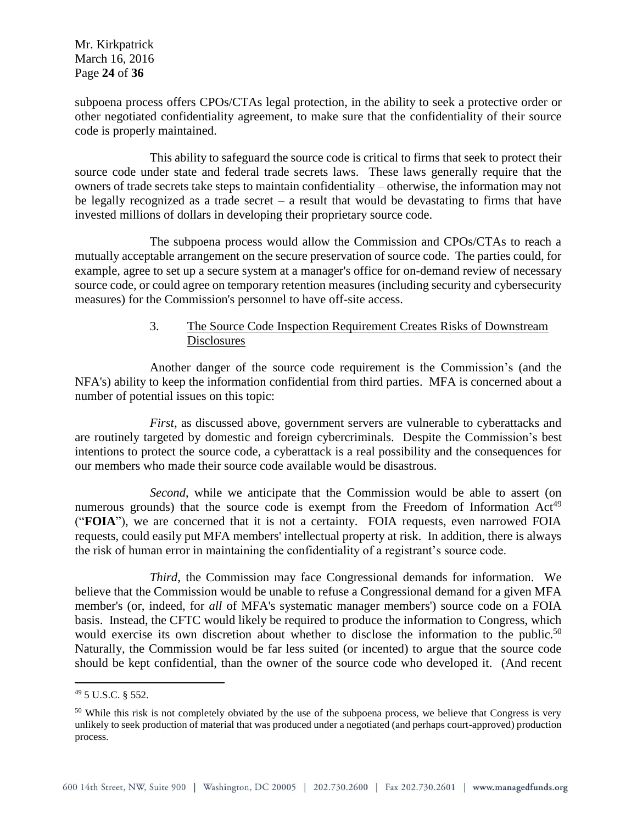Mr. Kirkpatrick March 16, 2016 Page **24** of **36**

subpoena process offers CPOs/CTAs legal protection, in the ability to seek a protective order or other negotiated confidentiality agreement, to make sure that the confidentiality of their source code is properly maintained.

This ability to safeguard the source code is critical to firms that seek to protect their source code under state and federal trade secrets laws. These laws generally require that the owners of trade secrets take steps to maintain confidentiality – otherwise, the information may not be legally recognized as a trade secret – a result that would be devastating to firms that have invested millions of dollars in developing their proprietary source code.

The subpoena process would allow the Commission and CPOs/CTAs to reach a mutually acceptable arrangement on the secure preservation of source code. The parties could, for example, agree to set up a secure system at a manager's office for on-demand review of necessary source code, or could agree on temporary retention measures (including security and cybersecurity measures) for the Commission's personnel to have off-site access.

# 3. The Source Code Inspection Requirement Creates Risks of Downstream **Disclosures**

Another danger of the source code requirement is the Commission's (and the NFA's) ability to keep the information confidential from third parties. MFA is concerned about a number of potential issues on this topic:

*First*, as discussed above, government servers are vulnerable to cyberattacks and are routinely targeted by domestic and foreign cybercriminals. Despite the Commission's best intentions to protect the source code, a cyberattack is a real possibility and the consequences for our members who made their source code available would be disastrous.

*Second*, while we anticipate that the Commission would be able to assert (on numerous grounds) that the source code is exempt from the Freedom of Information  $Act^{49}$ ("**FOIA**"), we are concerned that it is not a certainty. FOIA requests, even narrowed FOIA requests, could easily put MFA members' intellectual property at risk. In addition, there is always the risk of human error in maintaining the confidentiality of a registrant's source code.

*Third*, the Commission may face Congressional demands for information. We believe that the Commission would be unable to refuse a Congressional demand for a given MFA member's (or, indeed, for *all* of MFA's systematic manager members') source code on a FOIA basis. Instead, the CFTC would likely be required to produce the information to Congress, which would exercise its own discretion about whether to disclose the information to the public.<sup>50</sup> Naturally, the Commission would be far less suited (or incented) to argue that the source code should be kept confidential, than the owner of the source code who developed it. (And recent

<sup>49</sup> 5 U.S.C. § 552.

<sup>&</sup>lt;sup>50</sup> While this risk is not completely obviated by the use of the subpoena process, we believe that Congress is very unlikely to seek production of material that was produced under a negotiated (and perhaps court-approved) production process.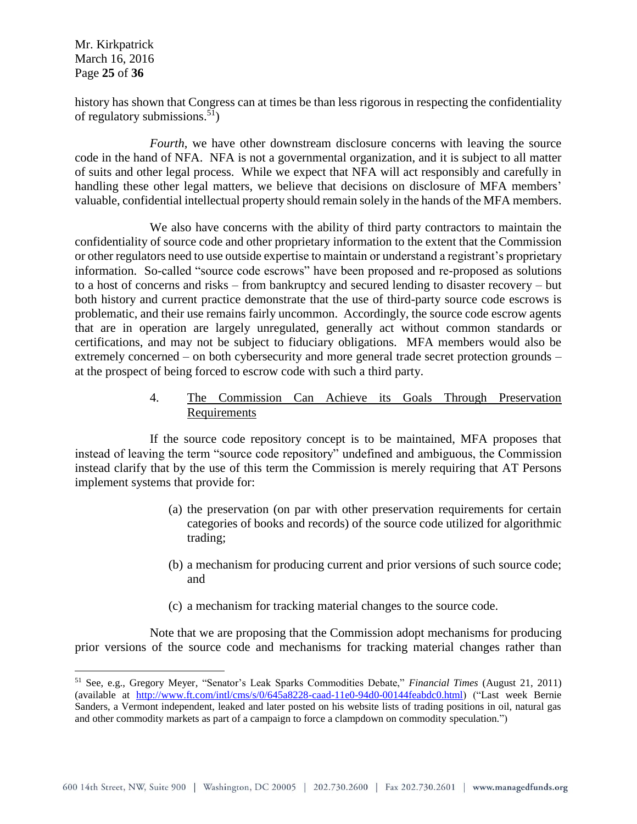Mr. Kirkpatrick March 16, 2016 Page **25** of **36**

 $\overline{a}$ 

history has shown that Congress can at times be than less rigorous in respecting the confidentiality of regulatory submissions.<sup>51</sup>)

*Fourth*, we have other downstream disclosure concerns with leaving the source code in the hand of NFA. NFA is not a governmental organization, and it is subject to all matter of suits and other legal process. While we expect that NFA will act responsibly and carefully in handling these other legal matters, we believe that decisions on disclosure of MFA members' valuable, confidential intellectual property should remain solely in the hands of the MFA members.

We also have concerns with the ability of third party contractors to maintain the confidentiality of source code and other proprietary information to the extent that the Commission or other regulators need to use outside expertise to maintain or understand a registrant's proprietary information. So-called "source code escrows" have been proposed and re-proposed as solutions to a host of concerns and risks – from bankruptcy and secured lending to disaster recovery – but both history and current practice demonstrate that the use of third-party source code escrows is problematic, and their use remains fairly uncommon. Accordingly, the source code escrow agents that are in operation are largely unregulated, generally act without common standards or certifications, and may not be subject to fiduciary obligations. MFA members would also be extremely concerned – on both cybersecurity and more general trade secret protection grounds – at the prospect of being forced to escrow code with such a third party.

## 4. The Commission Can Achieve its Goals Through Preservation **Requirements**

If the source code repository concept is to be maintained, MFA proposes that instead of leaving the term "source code repository" undefined and ambiguous, the Commission instead clarify that by the use of this term the Commission is merely requiring that AT Persons implement systems that provide for:

- (a) the preservation (on par with other preservation requirements for certain categories of books and records) of the source code utilized for algorithmic trading;
- (b) a mechanism for producing current and prior versions of such source code; and
- (c) a mechanism for tracking material changes to the source code.

Note that we are proposing that the Commission adopt mechanisms for producing prior versions of the source code and mechanisms for tracking material changes rather than

<sup>51</sup> See, e.g., Gregory Meyer, "Senator's Leak Sparks Commodities Debate," *Financial Times* (August 21, 2011) (available at [http://www.ft.com/intl/cms/s/0/645a8228-caad-11e0-94d0-00144feabdc0.html\)](http://www.ft.com/intl/cms/s/0/645a8228-caad-11e0-94d0-00144feabdc0.html) ("Last week Bernie Sanders, a Vermont independent, leaked and later posted on his website lists of trading positions in oil, natural gas and other commodity markets as part of a campaign to force a clampdown on commodity speculation.")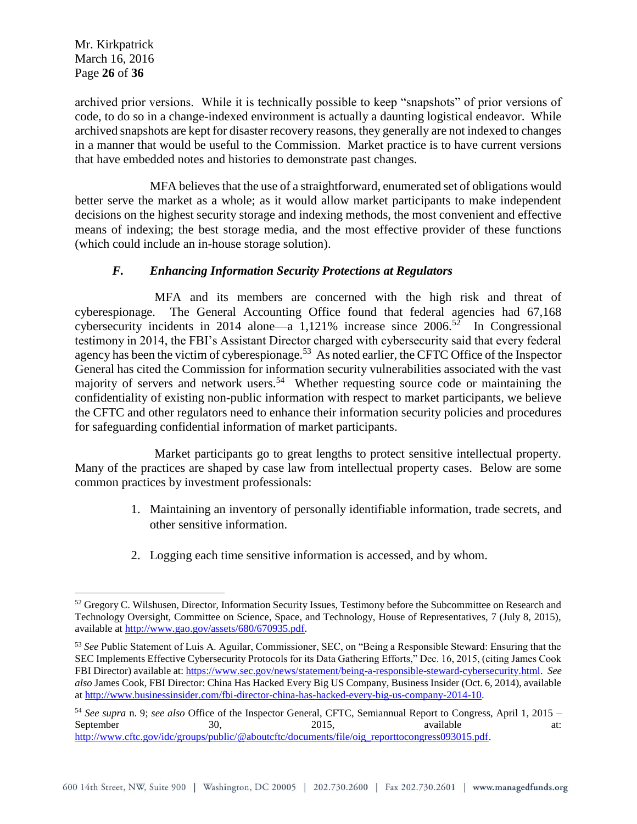Mr. Kirkpatrick March 16, 2016 Page **26** of **36**

 $\overline{a}$ 

archived prior versions. While it is technically possible to keep "snapshots" of prior versions of code, to do so in a change-indexed environment is actually a daunting logistical endeavor. While archived snapshots are kept for disaster recovery reasons, they generally are not indexed to changes in a manner that would be useful to the Commission. Market practice is to have current versions that have embedded notes and histories to demonstrate past changes.

MFA believes that the use of a straightforward, enumerated set of obligations would better serve the market as a whole; as it would allow market participants to make independent decisions on the highest security storage and indexing methods, the most convenient and effective means of indexing; the best storage media, and the most effective provider of these functions (which could include an in-house storage solution).

# *F. Enhancing Information Security Protections at Regulators*

MFA and its members are concerned with the high risk and threat of cyberespionage. The General Accounting Office found that federal agencies had 67,168 cybersecurity incidents in 2014 alone—a 1,121% increase since  $2006$ <sup>52</sup> In Congressional testimony in 2014, the FBI's Assistant Director charged with cybersecurity said that every federal agency has been the victim of cyberespionage.<sup>53</sup> As noted earlier, the CFTC Office of the Inspector General has cited the Commission for information security vulnerabilities associated with the vast majority of servers and network users.<sup>54</sup> Whether requesting source code or maintaining the confidentiality of existing non-public information with respect to market participants, we believe the CFTC and other regulators need to enhance their information security policies and procedures for safeguarding confidential information of market participants.

Market participants go to great lengths to protect sensitive intellectual property. Many of the practices are shaped by case law from intellectual property cases. Below are some common practices by investment professionals:

- 1. Maintaining an inventory of personally identifiable information, trade secrets, and other sensitive information.
- 2. Logging each time sensitive information is accessed, and by whom.

<sup>&</sup>lt;sup>52</sup> Gregory C. Wilshusen, Director, Information Security Issues, Testimony before the Subcommittee on Research and Technology Oversight, Committee on Science, Space, and Technology, House of Representatives, 7 (July 8, 2015), available at [http://www.gao.gov/assets/680/670935.pdf.](http://www.gao.gov/assets/680/670935.pdf)

<sup>53</sup> *See* Public Statement of Luis A. Aguilar, Commissioner, SEC, on "Being a Responsible Steward: Ensuring that the SEC Implements Effective Cybersecurity Protocols for its Data Gathering Efforts," Dec. 16, 2015, (citing James Cook FBI Director) available at[: https://www.sec.gov/news/statement/being-a-responsible-steward-cybersecurity.html.](https://www.sec.gov/news/statement/being-a-responsible-steward-cybersecurity.html) *See also* James Cook, FBI Director: China Has Hacked Every Big US Company, Business Insider (Oct. 6, 2014), available a[t http://www.businessinsider.com/fbi-director-china-has-hacked-every-big-us-company-2014-10.](http://www.businessinsider.com/fbi-director-china-has-hacked-every-big-us-company-2014-10)

<sup>54</sup> *See supra* n. 9; *see also* Office of the Inspector General, CFTC, Semiannual Report to Congress, April 1, 2015 – September 30, 2015, available at: [http://www.cftc.gov/idc/groups/public/@aboutcftc/documents/file/oig\\_reporttocongress093015.pdf.](http://www.cftc.gov/idc/groups/public/@aboutcftc/documents/file/oig_reporttocongress093015.pdf)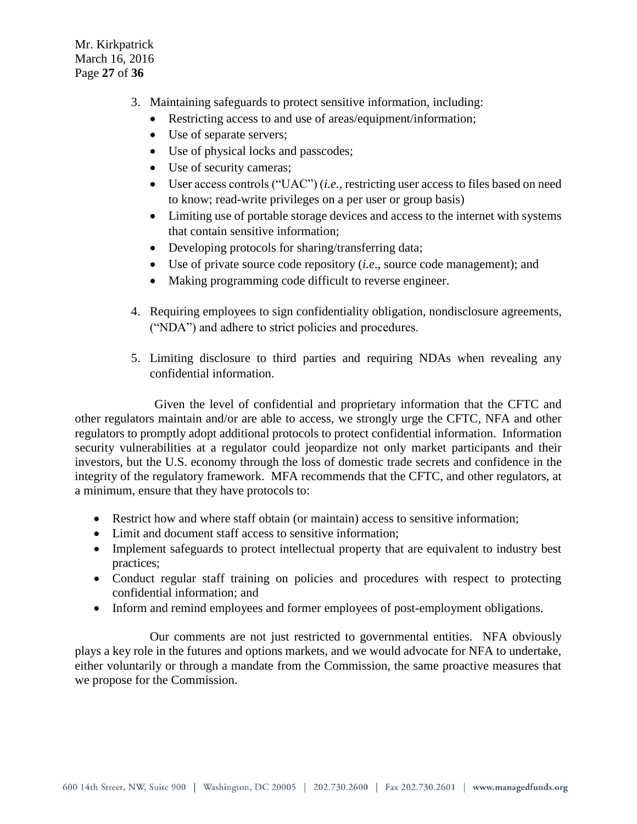Mr. Kirkpatrick March 16, 2016 Page **27** of **36**

- 3. Maintaining safeguards to protect sensitive information, including:
	- Restricting access to and use of areas/equipment/information;
	- Use of separate servers;
	- Use of physical locks and passcodes;
	- Use of security cameras;
	- User access controls ("UAC") (*i.e.*, restricting user access to files based on need to know; read-write privileges on a per user or group basis)
	- Limiting use of portable storage devices and access to the internet with systems that contain sensitive information;
	- Developing protocols for sharing/transferring data;
	- Use of private source code repository (*i.e*., source code management); and
	- Making programming code difficult to reverse engineer.
- 4. Requiring employees to sign confidentiality obligation, nondisclosure agreements, ("NDA") and adhere to strict policies and procedures.
- 5. Limiting disclosure to third parties and requiring NDAs when revealing any confidential information.

Given the level of confidential and proprietary information that the CFTC and other regulators maintain and/or are able to access, we strongly urge the CFTC, NFA and other regulators to promptly adopt additional protocols to protect confidential information. Information security vulnerabilities at a regulator could jeopardize not only market participants and their investors, but the U.S. economy through the loss of domestic trade secrets and confidence in the integrity of the regulatory framework. MFA recommends that the CFTC, and other regulators, at a minimum, ensure that they have protocols to:

- Restrict how and where staff obtain (or maintain) access to sensitive information;
- Limit and document staff access to sensitive information:
- Implement safeguards to protect intellectual property that are equivalent to industry best practices;
- Conduct regular staff training on policies and procedures with respect to protecting confidential information; and
- Inform and remind employees and former employees of post-employment obligations.

Our comments are not just restricted to governmental entities. NFA obviously plays a key role in the futures and options markets, and we would advocate for NFA to undertake, either voluntarily or through a mandate from the Commission, the same proactive measures that we propose for the Commission.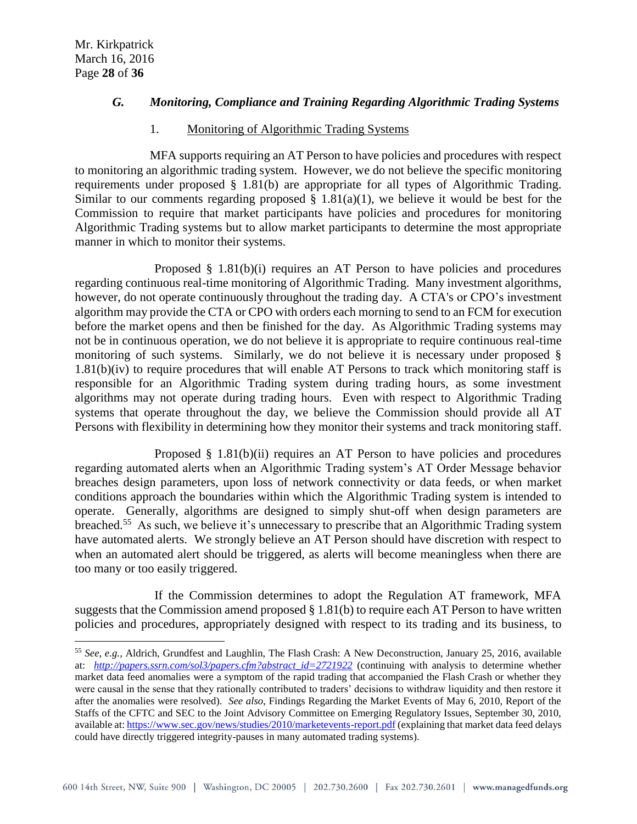$\overline{a}$ 

## *G. Monitoring, Compliance and Training Regarding Algorithmic Trading Systems*

## 1. Monitoring of Algorithmic Trading Systems

MFA supports requiring an AT Person to have policies and procedures with respect to monitoring an algorithmic trading system. However, we do not believe the specific monitoring requirements under proposed § 1.81(b) are appropriate for all types of Algorithmic Trading. Similar to our comments regarding proposed  $\S$  1.81(a)(1), we believe it would be best for the Commission to require that market participants have policies and procedures for monitoring Algorithmic Trading systems but to allow market participants to determine the most appropriate manner in which to monitor their systems.

Proposed § 1.81(b)(i) requires an AT Person to have policies and procedures regarding continuous real-time monitoring of Algorithmic Trading. Many investment algorithms, however, do not operate continuously throughout the trading day. A CTA's or CPO's investment algorithm may provide the CTA or CPO with orders each morning to send to an FCM for execution before the market opens and then be finished for the day. As Algorithmic Trading systems may not be in continuous operation, we do not believe it is appropriate to require continuous real-time monitoring of such systems. Similarly, we do not believe it is necessary under proposed § 1.81(b)(iv) to require procedures that will enable AT Persons to track which monitoring staff is responsible for an Algorithmic Trading system during trading hours, as some investment algorithms may not operate during trading hours. Even with respect to Algorithmic Trading systems that operate throughout the day, we believe the Commission should provide all AT Persons with flexibility in determining how they monitor their systems and track monitoring staff.

Proposed § 1.81(b)(ii) requires an AT Person to have policies and procedures regarding automated alerts when an Algorithmic Trading system's AT Order Message behavior breaches design parameters, upon loss of network connectivity or data feeds, or when market conditions approach the boundaries within which the Algorithmic Trading system is intended to operate. Generally, algorithms are designed to simply shut-off when design parameters are breached.<sup>55</sup> As such, we believe it's unnecessary to prescribe that an Algorithmic Trading system have automated alerts. We strongly believe an AT Person should have discretion with respect to when an automated alert should be triggered, as alerts will become meaningless when there are too many or too easily triggered.

If the Commission determines to adopt the Regulation AT framework, MFA suggests that the Commission amend proposed § 1.81(b) to require each AT Person to have written policies and procedures, appropriately designed with respect to its trading and its business, to

<sup>55</sup> *See, e.g.,* Aldrich, Grundfest and Laughlin, The Flash Crash: A New Deconstruction, January 25, 2016, available at: *[http://papers.ssrn.com/sol3/papers.cfm?abstract\\_id=2721922](http://papers.ssrn.com/sol3/papers.cfm?abstract_id=2721922)* (continuing with analysis to determine whether market data feed anomalies were a symptom of the rapid trading that accompanied the Flash Crash or whether they were causal in the sense that they rationally contributed to traders' decisions to withdraw liquidity and then restore it after the anomalies were resolved). *See also*, Findings Regarding the Market Events of May 6, 2010, Report of the Staffs of the CFTC and SEC to the Joint Advisory Committee on Emerging Regulatory Issues, September 30, 2010, available at[: https://www.sec.gov/news/studies/2010/marketevents-report.pdf](https://www.sec.gov/news/studies/2010/marketevents-report.pdf) (explaining that market data feed delays could have directly triggered integrity-pauses in many automated trading systems).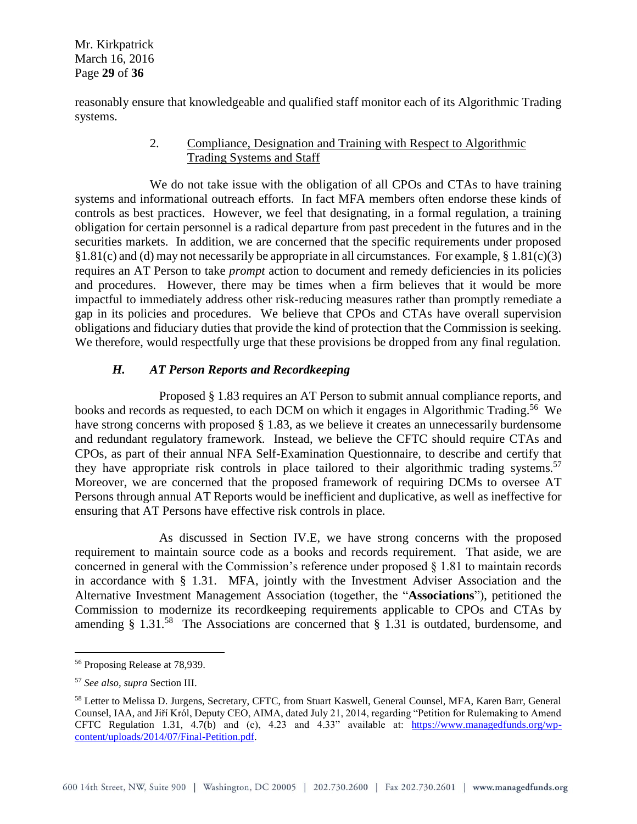Mr. Kirkpatrick March 16, 2016 Page **29** of **36**

reasonably ensure that knowledgeable and qualified staff monitor each of its Algorithmic Trading systems.

## 2. Compliance, Designation and Training with Respect to Algorithmic Trading Systems and Staff

We do not take issue with the obligation of all CPOs and CTAs to have training systems and informational outreach efforts. In fact MFA members often endorse these kinds of controls as best practices. However, we feel that designating, in a formal regulation, a training obligation for certain personnel is a radical departure from past precedent in the futures and in the securities markets. In addition, we are concerned that the specific requirements under proposed  $§1.81(c)$  and (d) may not necessarily be appropriate in all circumstances. For example,  $§1.81(c)(3)$ requires an AT Person to take *prompt* action to document and remedy deficiencies in its policies and procedures. However, there may be times when a firm believes that it would be more impactful to immediately address other risk-reducing measures rather than promptly remediate a gap in its policies and procedures. We believe that CPOs and CTAs have overall supervision obligations and fiduciary duties that provide the kind of protection that the Commission is seeking. We therefore, would respectfully urge that these provisions be dropped from any final regulation.

# *H. AT Person Reports and Recordkeeping*

Proposed § 1.83 requires an AT Person to submit annual compliance reports, and books and records as requested, to each DCM on which it engages in Algorithmic Trading.<sup>56</sup> We have strong concerns with proposed § 1.83, as we believe it creates an unnecessarily burdensome and redundant regulatory framework. Instead, we believe the CFTC should require CTAs and CPOs, as part of their annual NFA Self-Examination Questionnaire, to describe and certify that they have appropriate risk controls in place tailored to their algorithmic trading systems.<sup>57</sup> Moreover, we are concerned that the proposed framework of requiring DCMs to oversee AT Persons through annual AT Reports would be inefficient and duplicative, as well as ineffective for ensuring that AT Persons have effective risk controls in place.

As discussed in Section IV.E, we have strong concerns with the proposed requirement to maintain source code as a books and records requirement. That aside, we are concerned in general with the Commission's reference under proposed § 1.81 to maintain records in accordance with § 1.31. MFA, jointly with the Investment Adviser Association and the Alternative Investment Management Association (together, the "**Associations**"), petitioned the Commission to modernize its recordkeeping requirements applicable to CPOs and CTAs by amending § 1.31.<sup>58</sup> The Associations are concerned that § 1.31 is outdated, burdensome, and

 $\overline{a}$ <sup>56</sup> Proposing Release at 78,939.

<sup>57</sup> *See also, supra* Section III.

<sup>58</sup> Letter to Melissa D. Jurgens, Secretary, CFTC, from Stuart Kaswell, General Counsel, MFA, Karen Barr, General Counsel, IAA, and Jiří Krόl, Deputy CEO, AIMA, dated July 21, 2014, regarding "Petition for Rulemaking to Amend CFTC Regulation 1.31, 4.7(b) and (c), 4.23 and 4.33" available at: [https://www.managedfunds.org/wp](https://www.managedfunds.org/wp-content/uploads/2014/07/Final-Petition.pdf)[content/uploads/2014/07/Final-Petition.pdf.](https://www.managedfunds.org/wp-content/uploads/2014/07/Final-Petition.pdf)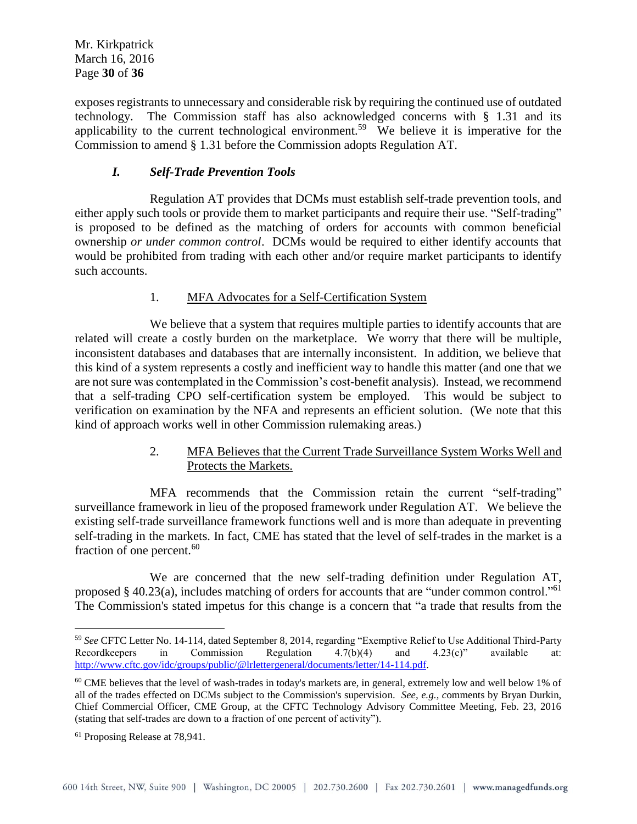exposes registrants to unnecessary and considerable risk by requiring the continued use of outdated technology. The Commission staff has also acknowledged concerns with § 1.31 and its applicability to the current technological environment.<sup>59</sup> We believe it is imperative for the Commission to amend § 1.31 before the Commission adopts Regulation AT.

# *I. Self-Trade Prevention Tools*

Regulation AT provides that DCMs must establish self-trade prevention tools, and either apply such tools or provide them to market participants and require their use. "Self-trading" is proposed to be defined as the matching of orders for accounts with common beneficial ownership *or under common control*. DCMs would be required to either identify accounts that would be prohibited from trading with each other and/or require market participants to identify such accounts.

# 1. MFA Advocates for a Self-Certification System

We believe that a system that requires multiple parties to identify accounts that are related will create a costly burden on the marketplace. We worry that there will be multiple, inconsistent databases and databases that are internally inconsistent. In addition, we believe that this kind of a system represents a costly and inefficient way to handle this matter (and one that we are not sure was contemplated in the Commission's cost-benefit analysis). Instead, we recommend that a self-trading CPO self-certification system be employed. This would be subject to verification on examination by the NFA and represents an efficient solution. (We note that this kind of approach works well in other Commission rulemaking areas.)

# 2. MFA Believes that the Current Trade Surveillance System Works Well and Protects the Markets.

MFA recommends that the Commission retain the current "self-trading" surveillance framework in lieu of the proposed framework under Regulation AT. We believe the existing self-trade surveillance framework functions well and is more than adequate in preventing self-trading in the markets. In fact, CME has stated that the level of self-trades in the market is a fraction of one percent.<sup>60</sup>

We are concerned that the new self-trading definition under Regulation AT, proposed  $\S$  40.23(a), includes matching of orders for accounts that are "under common control."<sup>61</sup> The Commission's stated impetus for this change is a concern that "a trade that results from the

 $\overline{a}$ <sup>59</sup> *See* CFTC Letter No. 14-114, dated September 8, 2014, regarding "Exemptive Relief to Use Additional Third-Party Recordkeepers in Commission Regulation  $4.7(b)(4)$  and  $4.23(c)$ " available at: [http://www.cftc.gov/idc/groups/public/@lrlettergeneral/documents/letter/14-114.pdf.](http://www.cftc.gov/idc/groups/public/@lrlettergeneral/documents/letter/14-114.pdf)

 $60$  CME believes that the level of wash-trades in today's markets are, in general, extremely low and well below 1% of all of the trades effected on DCMs subject to the Commission's supervision. *See, e.g., c*omments by Bryan Durkin, Chief Commercial Officer, CME Group, at the CFTC Technology Advisory Committee Meeting, Feb. 23, 2016 (stating that self-trades are down to a fraction of one percent of activity").

<sup>61</sup> Proposing Release at 78,941.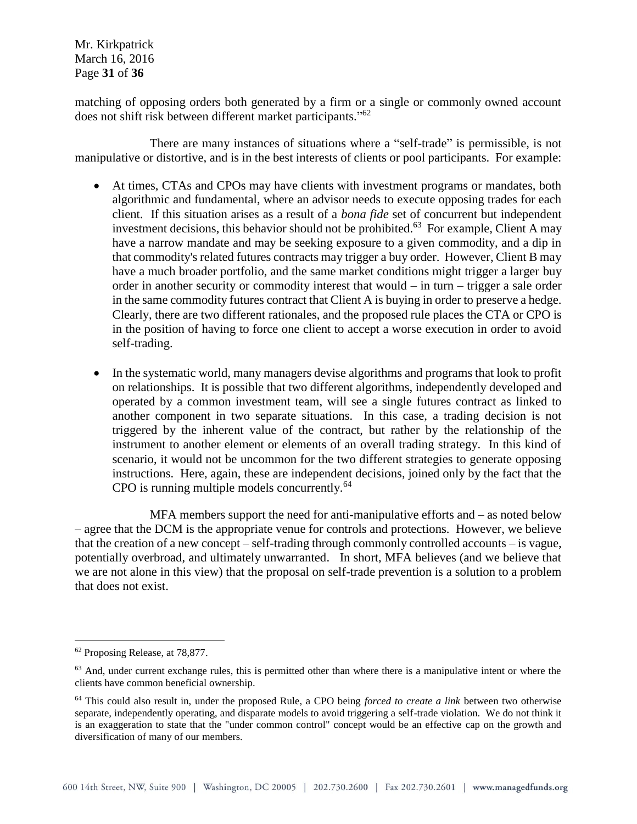Mr. Kirkpatrick March 16, 2016 Page **31** of **36**

matching of opposing orders both generated by a firm or a single or commonly owned account does not shift risk between different market participants."<sup>62</sup>

There are many instances of situations where a "self-trade" is permissible, is not manipulative or distortive, and is in the best interests of clients or pool participants. For example:

- At times, CTAs and CPOs may have clients with investment programs or mandates, both algorithmic and fundamental, where an advisor needs to execute opposing trades for each client. If this situation arises as a result of a *bona fide* set of concurrent but independent investment decisions, this behavior should not be prohibited.<sup>63</sup> For example, Client A may have a narrow mandate and may be seeking exposure to a given commodity, and a dip in that commodity's related futures contracts may trigger a buy order. However, Client B may have a much broader portfolio, and the same market conditions might trigger a larger buy order in another security or commodity interest that would – in turn – trigger a sale order in the same commodity futures contract that Client A is buying in order to preserve a hedge. Clearly, there are two different rationales, and the proposed rule places the CTA or CPO is in the position of having to force one client to accept a worse execution in order to avoid self-trading.
- In the systematic world, many managers devise algorithms and programs that look to profit on relationships. It is possible that two different algorithms, independently developed and operated by a common investment team, will see a single futures contract as linked to another component in two separate situations. In this case, a trading decision is not triggered by the inherent value of the contract, but rather by the relationship of the instrument to another element or elements of an overall trading strategy. In this kind of scenario, it would not be uncommon for the two different strategies to generate opposing instructions. Here, again, these are independent decisions, joined only by the fact that the CPO is running multiple models concurrently.<sup>64</sup>

MFA members support the need for anti-manipulative efforts and – as noted below – agree that the DCM is the appropriate venue for controls and protections. However, we believe that the creation of a new concept – self-trading through commonly controlled accounts – is vague, potentially overbroad, and ultimately unwarranted. In short, MFA believes (and we believe that we are not alone in this view) that the proposal on self-trade prevention is a solution to a problem that does not exist.

<sup>62</sup> Proposing Release, at 78,877.

 $<sup>63</sup>$  And, under current exchange rules, this is permitted other than where there is a manipulative intent or where the</sup> clients have common beneficial ownership.

<sup>64</sup> This could also result in, under the proposed Rule, a CPO being *forced to create a link* between two otherwise separate, independently operating, and disparate models to avoid triggering a self-trade violation. We do not think it is an exaggeration to state that the "under common control" concept would be an effective cap on the growth and diversification of many of our members.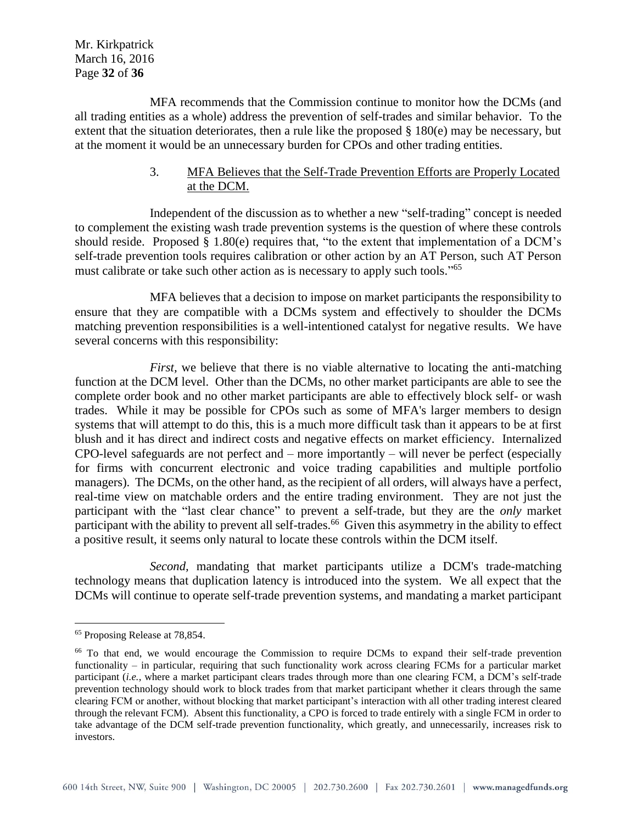Mr. Kirkpatrick March 16, 2016 Page **32** of **36**

MFA recommends that the Commission continue to monitor how the DCMs (and all trading entities as a whole) address the prevention of self-trades and similar behavior. To the extent that the situation deteriorates, then a rule like the proposed  $\S$  180(e) may be necessary, but at the moment it would be an unnecessary burden for CPOs and other trading entities.

## 3. MFA Believes that the Self-Trade Prevention Efforts are Properly Located at the DCM.

Independent of the discussion as to whether a new "self-trading" concept is needed to complement the existing wash trade prevention systems is the question of where these controls should reside. Proposed § 1.80(e) requires that, "to the extent that implementation of a DCM's self-trade prevention tools requires calibration or other action by an AT Person, such AT Person must calibrate or take such other action as is necessary to apply such tools."<sup>65</sup>

MFA believes that a decision to impose on market participants the responsibility to ensure that they are compatible with a DCMs system and effectively to shoulder the DCMs matching prevention responsibilities is a well-intentioned catalyst for negative results. We have several concerns with this responsibility:

*First*, we believe that there is no viable alternative to locating the anti-matching function at the DCM level. Other than the DCMs, no other market participants are able to see the complete order book and no other market participants are able to effectively block self- or wash trades. While it may be possible for CPOs such as some of MFA's larger members to design systems that will attempt to do this, this is a much more difficult task than it appears to be at first blush and it has direct and indirect costs and negative effects on market efficiency. Internalized CPO-level safeguards are not perfect and – more importantly – will never be perfect (especially for firms with concurrent electronic and voice trading capabilities and multiple portfolio managers). The DCMs, on the other hand, as the recipient of all orders, will always have a perfect, real-time view on matchable orders and the entire trading environment. They are not just the participant with the "last clear chance" to prevent a self-trade, but they are the *only* market participant with the ability to prevent all self-trades.<sup>66</sup> Given this asymmetry in the ability to effect a positive result, it seems only natural to locate these controls within the DCM itself.

*Second,* mandating that market participants utilize a DCM's trade-matching technology means that duplication latency is introduced into the system. We all expect that the DCMs will continue to operate self-trade prevention systems, and mandating a market participant

<sup>65</sup> Proposing Release at 78,854.

<sup>&</sup>lt;sup>66</sup> To that end, we would encourage the Commission to require DCMs to expand their self-trade prevention functionality – in particular, requiring that such functionality work across clearing FCMs for a particular market participant (*i.e.*, where a market participant clears trades through more than one clearing FCM, a DCM's self-trade prevention technology should work to block trades from that market participant whether it clears through the same clearing FCM or another, without blocking that market participant's interaction with all other trading interest cleared through the relevant FCM). Absent this functionality, a CPO is forced to trade entirely with a single FCM in order to take advantage of the DCM self-trade prevention functionality, which greatly, and unnecessarily, increases risk to investors.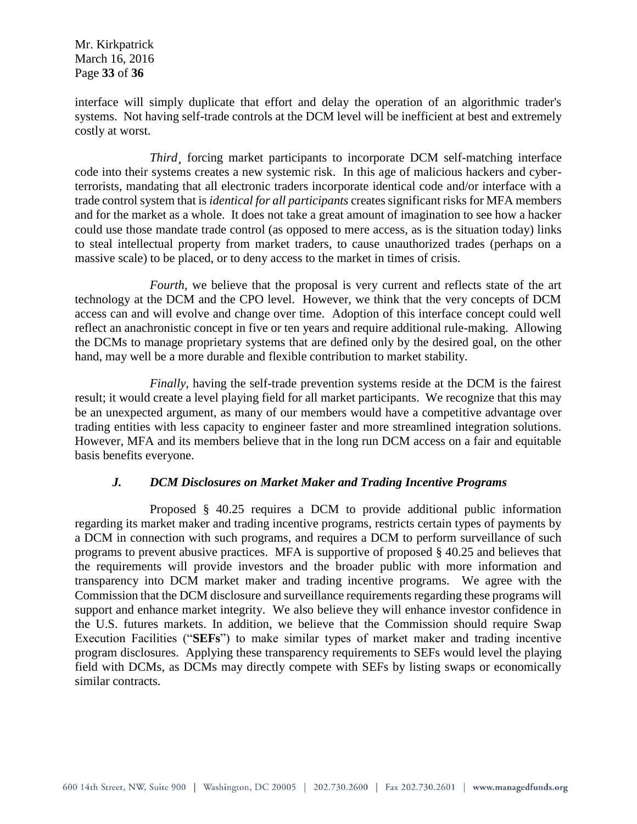Mr. Kirkpatrick March 16, 2016 Page **33** of **36**

interface will simply duplicate that effort and delay the operation of an algorithmic trader's systems. Not having self-trade controls at the DCM level will be inefficient at best and extremely costly at worst.

*Third¸* forcing market participants to incorporate DCM self-matching interface code into their systems creates a new systemic risk. In this age of malicious hackers and cyberterrorists, mandating that all electronic traders incorporate identical code and/or interface with a trade control system that is *identical for all participants* creates significant risks for MFA members and for the market as a whole. It does not take a great amount of imagination to see how a hacker could use those mandate trade control (as opposed to mere access, as is the situation today) links to steal intellectual property from market traders, to cause unauthorized trades (perhaps on a massive scale) to be placed, or to deny access to the market in times of crisis.

*Fourth*, we believe that the proposal is very current and reflects state of the art technology at the DCM and the CPO level. However, we think that the very concepts of DCM access can and will evolve and change over time. Adoption of this interface concept could well reflect an anachronistic concept in five or ten years and require additional rule-making. Allowing the DCMs to manage proprietary systems that are defined only by the desired goal, on the other hand, may well be a more durable and flexible contribution to market stability.

*Finally,* having the self-trade prevention systems reside at the DCM is the fairest result; it would create a level playing field for all market participants. We recognize that this may be an unexpected argument, as many of our members would have a competitive advantage over trading entities with less capacity to engineer faster and more streamlined integration solutions. However, MFA and its members believe that in the long run DCM access on a fair and equitable basis benefits everyone.

#### *J. DCM Disclosures on Market Maker and Trading Incentive Programs*

Proposed § 40.25 requires a DCM to provide additional public information regarding its market maker and trading incentive programs, restricts certain types of payments by a DCM in connection with such programs, and requires a DCM to perform surveillance of such programs to prevent abusive practices. MFA is supportive of proposed § 40.25 and believes that the requirements will provide investors and the broader public with more information and transparency into DCM market maker and trading incentive programs. We agree with the Commission that the DCM disclosure and surveillance requirements regarding these programs will support and enhance market integrity. We also believe they will enhance investor confidence in the U.S. futures markets. In addition, we believe that the Commission should require Swap Execution Facilities ("**SEFs**") to make similar types of market maker and trading incentive program disclosures. Applying these transparency requirements to SEFs would level the playing field with DCMs, as DCMs may directly compete with SEFs by listing swaps or economically similar contracts.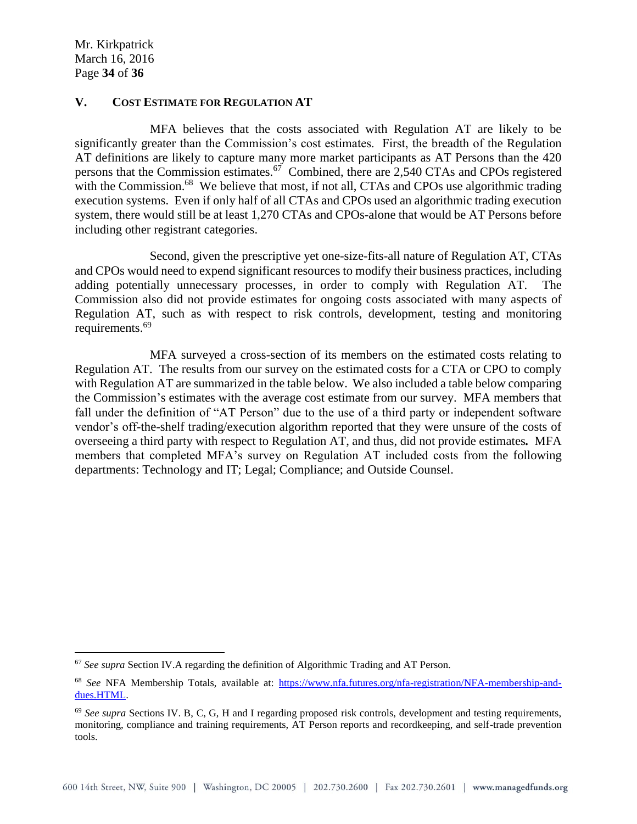$\overline{a}$ 

#### **V. COST ESTIMATE FOR REGULATION AT**

MFA believes that the costs associated with Regulation AT are likely to be significantly greater than the Commission's cost estimates. First, the breadth of the Regulation AT definitions are likely to capture many more market participants as AT Persons than the 420 persons that the Commission estimates.<sup>67</sup> Combined, there are 2,540 CTAs and CPOs registered with the Commission.<sup>68</sup> We believe that most, if not all, CTAs and CPOs use algorithmic trading execution systems. Even if only half of all CTAs and CPOs used an algorithmic trading execution system, there would still be at least 1,270 CTAs and CPOs-alone that would be AT Persons before including other registrant categories.

Second, given the prescriptive yet one-size-fits-all nature of Regulation AT, CTAs and CPOs would need to expend significant resources to modify their business practices, including adding potentially unnecessary processes, in order to comply with Regulation AT. The Commission also did not provide estimates for ongoing costs associated with many aspects of Regulation AT, such as with respect to risk controls, development, testing and monitoring requirements.<sup>69</sup>

MFA surveyed a cross-section of its members on the estimated costs relating to Regulation AT. The results from our survey on the estimated costs for a CTA or CPO to comply with Regulation AT are summarized in the table below. We also included a table below comparing the Commission's estimates with the average cost estimate from our survey. MFA members that fall under the definition of "AT Person" due to the use of a third party or independent software vendor's off-the-shelf trading/execution algorithm reported that they were unsure of the costs of overseeing a third party with respect to Regulation AT, and thus, did not provide estimates*.* MFA members that completed MFA's survey on Regulation AT included costs from the following departments: Technology and IT; Legal; Compliance; and Outside Counsel.

<sup>67</sup> *See supra* Section IV.A regarding the definition of Algorithmic Trading and AT Person.

<sup>68</sup> *See* NFA Membership Totals, available at: [https://www.nfa.futures.org/nfa-registration/NFA-membership-and](https://www.nfa.futures.org/nfa-registration/NFA-membership-and-dues.HTML)[dues.HTML.](https://www.nfa.futures.org/nfa-registration/NFA-membership-and-dues.HTML)

<sup>69</sup> *See supra* Sections IV. B, C, G, H and I regarding proposed risk controls, development and testing requirements, monitoring, compliance and training requirements, AT Person reports and recordkeeping, and self-trade prevention tools.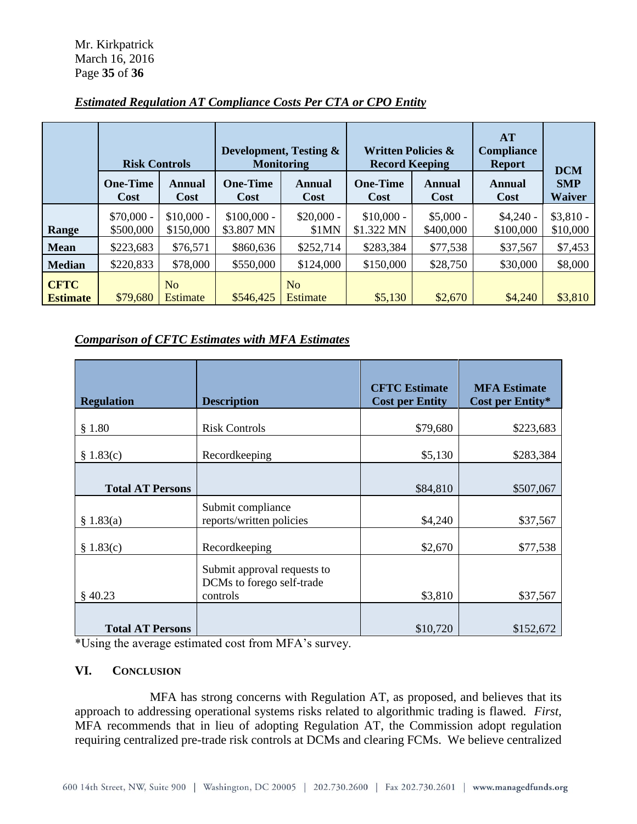|                 | <b>Risk Controls</b>     |                          | Development, Testing &<br><b>Monitoring</b> |                       | <b>Written Policies &amp;</b><br><b>Record Keeping</b> |                         | AT<br><b>Compliance</b><br><b>Report</b> | <b>DCM</b>                  |
|-----------------|--------------------------|--------------------------|---------------------------------------------|-----------------------|--------------------------------------------------------|-------------------------|------------------------------------------|-----------------------------|
|                 | <b>One-Time</b><br>Cost  | Annual<br>Cost           | <b>One-Time</b><br><b>Cost</b>              | Annual<br><b>Cost</b> | <b>One-Time</b><br><b>Cost</b>                         | Annual<br>Cost          | Annual<br>Cost                           | <b>SMP</b><br><b>Waiver</b> |
| Range           | $$70,000 -$<br>\$500,000 | $$10,000 -$<br>\$150,000 | $$100,000 -$<br>\$3.807 MN                  | $$20,000 -$<br>\$1MN  | $$10,000 -$<br>\$1.322 MN                              | $$5,000 -$<br>\$400,000 | $$4,240-$<br>\$100,000                   | $$3,810-$<br>\$10,000       |
| <b>Mean</b>     | \$223,683                | \$76,571                 | \$860,636                                   | \$252,714             | \$283,384                                              | \$77,538                | \$37,567                                 | \$7,453                     |
| <b>Median</b>   | \$220,833                | \$78,000                 | \$550,000                                   | \$124,000             | \$150,000                                              | \$28,750                | \$30,000                                 | \$8,000                     |
| <b>CFTC</b>     |                          | No                       |                                             | N <sub>0</sub>        |                                                        |                         |                                          |                             |
| <b>Estimate</b> | \$79,680                 | <b>Estimate</b>          | \$546,425                                   | Estimate              | \$5,130                                                | \$2,670                 | \$4,240                                  | \$3,810                     |

# *Estimated Regulation AT Compliance Costs Per CTA or CPO Entity*

# *Comparison of CFTC Estimates with MFA Estimates*

| <b>Regulation</b>       | <b>Description</b>                                                   | <b>CFTC</b> Estimate<br><b>Cost per Entity</b> | <b>MFA Estimate</b><br>Cost per Entity* |
|-------------------------|----------------------------------------------------------------------|------------------------------------------------|-----------------------------------------|
| \$1.80                  | <b>Risk Controls</b>                                                 | \$79,680                                       | \$223,683                               |
| \$1.83(c)               | Recordkeeping                                                        | \$5,130                                        | \$283,384                               |
| <b>Total AT Persons</b> |                                                                      | \$84,810                                       | \$507,067                               |
| \$1.83(a)               | Submit compliance<br>reports/written policies                        | \$4,240                                        | \$37,567                                |
| \$1.83(c)               | Recordkeeping                                                        | \$2,670                                        | \$77,538                                |
| $§$ 40.23               | Submit approval requests to<br>DCMs to forego self-trade<br>controls | \$3,810                                        | \$37,567                                |
| <b>Total AT Persons</b> |                                                                      | \$10,720                                       | \$152,672                               |

\*Using the average estimated cost from MFA's survey.

#### **VI. CONCLUSION**

MFA has strong concerns with Regulation AT, as proposed, and believes that its approach to addressing operational systems risks related to algorithmic trading is flawed. *First,*  MFA recommends that in lieu of adopting Regulation AT, the Commission adopt regulation requiring centralized pre-trade risk controls at DCMs and clearing FCMs. We believe centralized